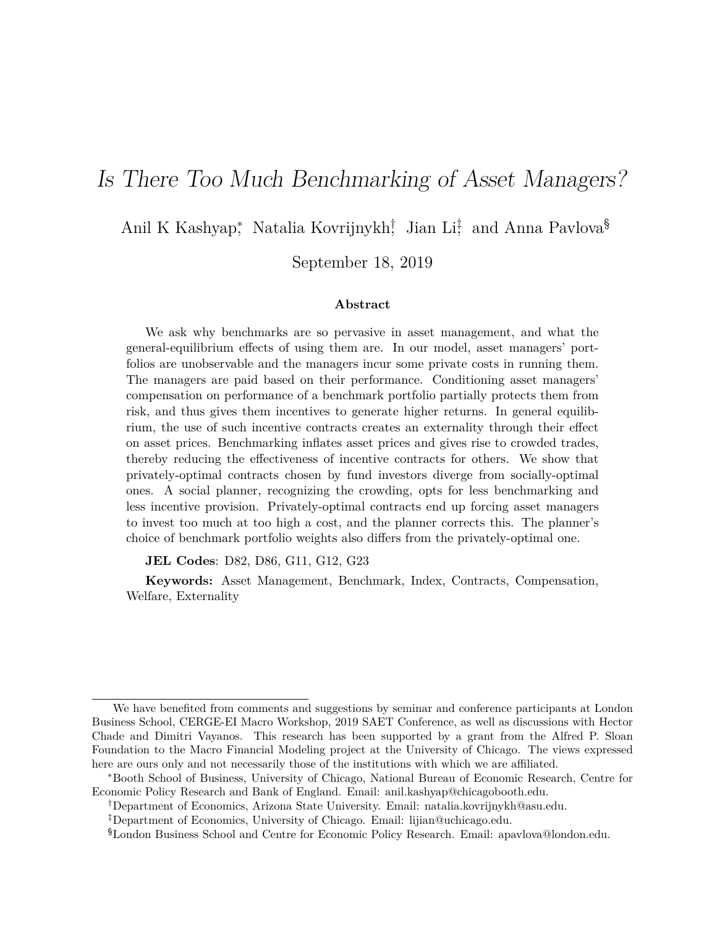# <span id="page-0-0"></span>Is There Too Much Benchmarking of Asset Managers?

Anil K Kashyap<sup>∗</sup> , Natalia Kovrijnykh† , Jian Li‡ , and Anna Pavlova§

September 18, 2019

#### **Abstract**

We ask why benchmarks are so pervasive in asset management, and what the general-equilibrium effects of using them are. In our model, asset managers' portfolios are unobservable and the managers incur some private costs in running them. The managers are paid based on their performance. Conditioning asset managers' compensation on performance of a benchmark portfolio partially protects them from risk, and thus gives them incentives to generate higher returns. In general equilibrium, the use of such incentive contracts creates an externality through their effect on asset prices. Benchmarking inflates asset prices and gives rise to crowded trades, thereby reducing the effectiveness of incentive contracts for others. We show that privately-optimal contracts chosen by fund investors diverge from socially-optimal ones. A social planner, recognizing the crowding, opts for less benchmarking and less incentive provision. Privately-optimal contracts end up forcing asset managers to invest too much at too high a cost, and the planner corrects this. The planner's choice of benchmark portfolio weights also differs from the privately-optimal one.

**JEL Codes**: D82, D86, G11, G12, G23

**Keywords:** Asset Management, Benchmark, Index, Contracts, Compensation, Welfare, Externality

We have benefited from comments and suggestions by seminar and conference participants at London Business School, CERGE-EI Macro Workshop, 2019 SAET Conference, as well as discussions with Hector Chade and Dimitri Vayanos. This research has been supported by a grant from the Alfred P. Sloan Foundation to the Macro Financial Modeling project at the University of Chicago. The views expressed here are ours only and not necessarily those of the institutions with which we are affiliated.

<sup>∗</sup>Booth School of Business, University of Chicago, National Bureau of Economic Research, Centre for Economic Policy Research and Bank of England. Email: anil.kashyap@chicagobooth.edu.

<sup>†</sup>Department of Economics, Arizona State University. Email: natalia.kovrijnykh@asu.edu.

<sup>‡</sup>Department of Economics, University of Chicago. Email: lijian@uchicago.edu.

<sup>§</sup>London Business School and Centre for Economic Policy Research. Email: apavlova@london.edu.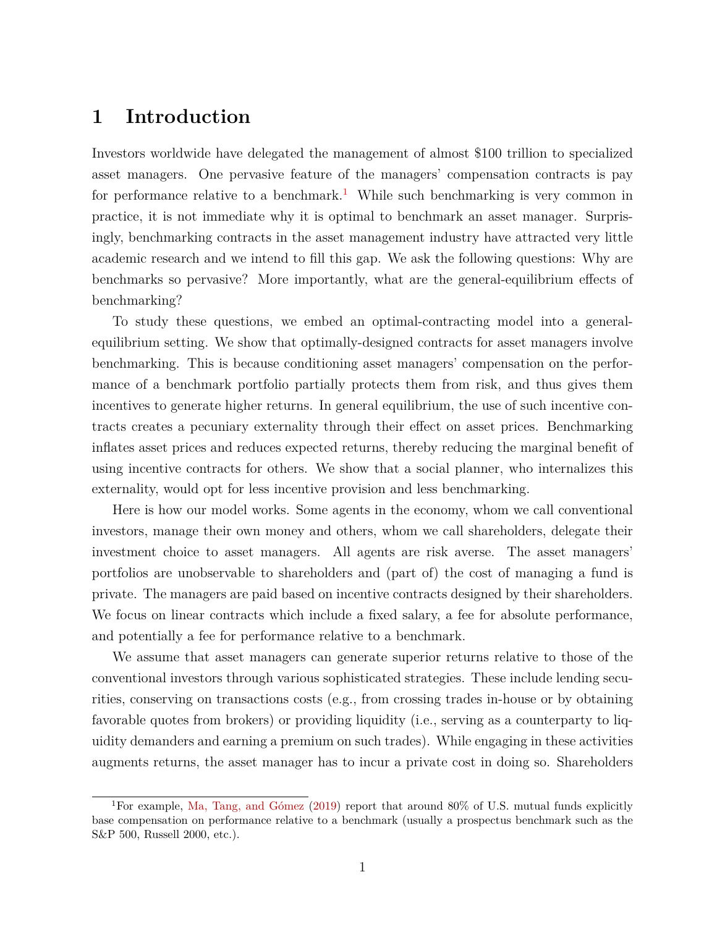# **1 Introduction**

Investors worldwide have delegated the management of almost \$100 trillion to specialized asset managers. One pervasive feature of the managers' compensation contracts is pay for performance relative to a benchmark.<sup>[1](#page-0-0)</sup> While such benchmarking is very common in practice, it is not immediate why it is optimal to benchmark an asset manager. Surprisingly, benchmarking contracts in the asset management industry have attracted very little academic research and we intend to fill this gap. We ask the following questions: Why are benchmarks so pervasive? More importantly, what are the general-equilibrium effects of benchmarking?

To study these questions, we embed an optimal-contracting model into a generalequilibrium setting. We show that optimally-designed contracts for asset managers involve benchmarking. This is because conditioning asset managers' compensation on the performance of a benchmark portfolio partially protects them from risk, and thus gives them incentives to generate higher returns. In general equilibrium, the use of such incentive contracts creates a pecuniary externality through their effect on asset prices. Benchmarking inflates asset prices and reduces expected returns, thereby reducing the marginal benefit of using incentive contracts for others. We show that a social planner, who internalizes this externality, would opt for less incentive provision and less benchmarking.

Here is how our model works. Some agents in the economy, whom we call conventional investors, manage their own money and others, whom we call shareholders, delegate their investment choice to asset managers. All agents are risk averse. The asset managers' portfolios are unobservable to shareholders and (part of) the cost of managing a fund is private. The managers are paid based on incentive contracts designed by their shareholders. We focus on linear contracts which include a fixed salary, a fee for absolute performance, and potentially a fee for performance relative to a benchmark.

We assume that asset managers can generate superior returns relative to those of the conventional investors through various sophisticated strategies. These include lending securities, conserving on transactions costs (e.g., from crossing trades in-house or by obtaining favorable quotes from brokers) or providing liquidity (i.e., serving as a counterparty to liquidity demanders and earning a premium on such trades). While engaging in these activities augments returns, the asset manager has to incur a private cost in doing so. Shareholders

<sup>&</sup>lt;sup>1</sup>For example, [Ma, Tang, and Gómez](#page-37-0) [\(2019\)](#page-37-0) report that around 80% of U.S. mutual funds explicitly base compensation on performance relative to a benchmark (usually a prospectus benchmark such as the S&P 500, Russell 2000, etc.).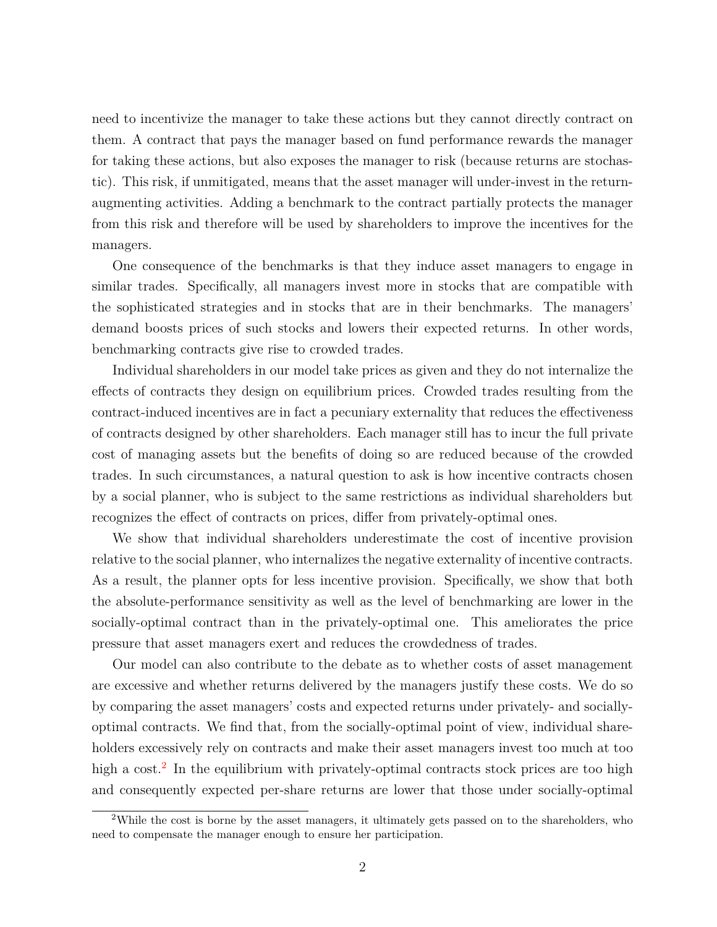need to incentivize the manager to take these actions but they cannot directly contract on them. A contract that pays the manager based on fund performance rewards the manager for taking these actions, but also exposes the manager to risk (because returns are stochastic). This risk, if unmitigated, means that the asset manager will under-invest in the returnaugmenting activities. Adding a benchmark to the contract partially protects the manager from this risk and therefore will be used by shareholders to improve the incentives for the managers.

One consequence of the benchmarks is that they induce asset managers to engage in similar trades. Specifically, all managers invest more in stocks that are compatible with the sophisticated strategies and in stocks that are in their benchmarks. The managers' demand boosts prices of such stocks and lowers their expected returns. In other words, benchmarking contracts give rise to crowded trades.

Individual shareholders in our model take prices as given and they do not internalize the effects of contracts they design on equilibrium prices. Crowded trades resulting from the contract-induced incentives are in fact a pecuniary externality that reduces the effectiveness of contracts designed by other shareholders. Each manager still has to incur the full private cost of managing assets but the benefits of doing so are reduced because of the crowded trades. In such circumstances, a natural question to ask is how incentive contracts chosen by a social planner, who is subject to the same restrictions as individual shareholders but recognizes the effect of contracts on prices, differ from privately-optimal ones.

We show that individual shareholders underestimate the cost of incentive provision relative to the social planner, who internalizes the negative externality of incentive contracts. As a result, the planner opts for less incentive provision. Specifically, we show that both the absolute-performance sensitivity as well as the level of benchmarking are lower in the socially-optimal contract than in the privately-optimal one. This ameliorates the price pressure that asset managers exert and reduces the crowdedness of trades.

Our model can also contribute to the debate as to whether costs of asset management are excessive and whether returns delivered by the managers justify these costs. We do so by comparing the asset managers' costs and expected returns under privately- and sociallyoptimal contracts. We find that, from the socially-optimal point of view, individual shareholders excessively rely on contracts and make their asset managers invest too much at too high a cost.<sup>[2](#page-0-0)</sup> In the equilibrium with privately-optimal contracts stock prices are too high and consequently expected per-share returns are lower that those under socially-optimal

<sup>&</sup>lt;sup>2</sup>While the cost is borne by the asset managers, it ultimately gets passed on to the shareholders, who need to compensate the manager enough to ensure her participation.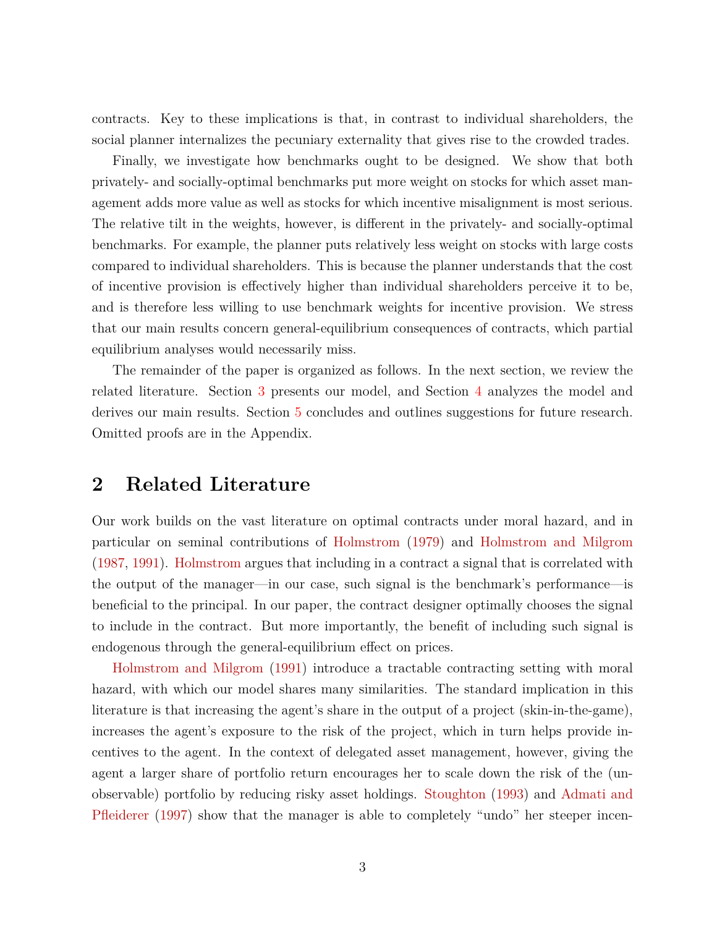contracts. Key to these implications is that, in contrast to individual shareholders, the social planner internalizes the pecuniary externality that gives rise to the crowded trades.

Finally, we investigate how benchmarks ought to be designed. We show that both privately- and socially-optimal benchmarks put more weight on stocks for which asset management adds more value as well as stocks for which incentive misalignment is most serious. The relative tilt in the weights, however, is different in the privately- and socially-optimal benchmarks. For example, the planner puts relatively less weight on stocks with large costs compared to individual shareholders. This is because the planner understands that the cost of incentive provision is effectively higher than individual shareholders perceive it to be, and is therefore less willing to use benchmark weights for incentive provision. We stress that our main results concern general-equilibrium consequences of contracts, which partial equilibrium analyses would necessarily miss.

The remainder of the paper is organized as follows. In the next section, we review the related literature. Section [3](#page-4-0) presents our model, and Section [4](#page-10-0) analyzes the model and derives our main results. Section [5](#page-25-0) concludes and outlines suggestions for future research. Omitted proofs are in the Appendix.

# **2 Related Literature**

Our work builds on the vast literature on optimal contracts under moral hazard, and in particular on seminal contributions of [Holmstrom](#page-36-0) [\(1979\)](#page-36-0) and [Holmstrom and Milgrom](#page-36-1) [\(1987,](#page-36-1) [1991\)](#page-36-2). [Holmstrom](#page-36-0) argues that including in a contract a signal that is correlated with the output of the manager—in our case, such signal is the benchmark's performance—is beneficial to the principal. In our paper, the contract designer optimally chooses the signal to include in the contract. But more importantly, the benefit of including such signal is endogenous through the general-equilibrium effect on prices.

[Holmstrom and Milgrom](#page-36-2) [\(1991\)](#page-36-2) introduce a tractable contracting setting with moral hazard, with which our model shares many similarities. The standard implication in this literature is that increasing the agent's share in the output of a project (skin-in-the-game), increases the agent's exposure to the risk of the project, which in turn helps provide incentives to the agent. In the context of delegated asset management, however, giving the agent a larger share of portfolio return encourages her to scale down the risk of the (unobservable) portfolio by reducing risky asset holdings. [Stoughton](#page-37-1) [\(1993\)](#page-37-1) and [Admati and](#page-35-0) [Pfleiderer](#page-35-0) [\(1997\)](#page-35-0) show that the manager is able to completely "undo" her steeper incen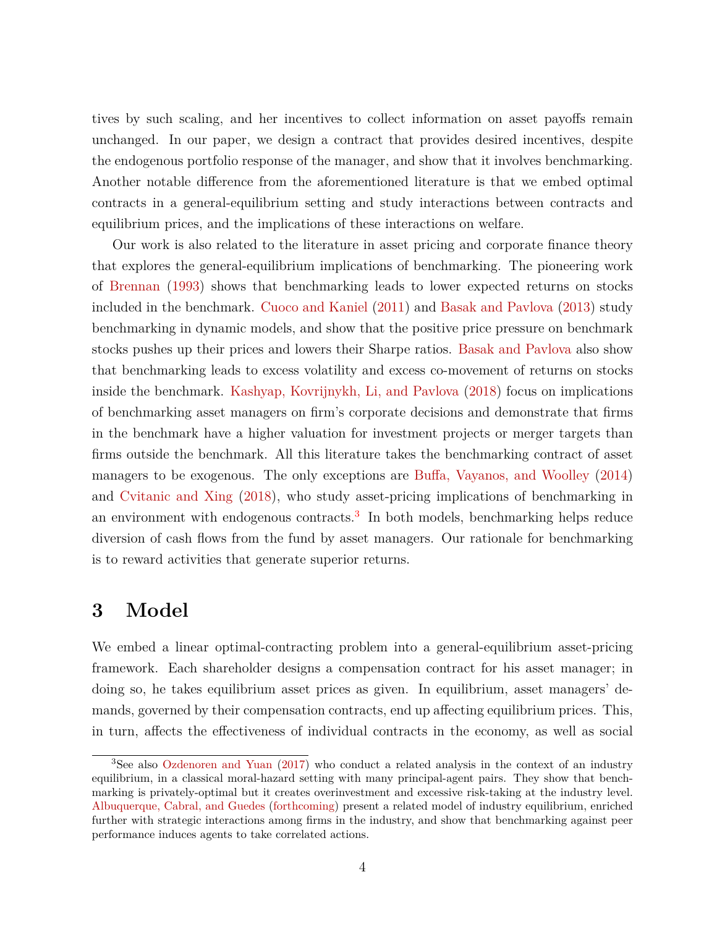tives by such scaling, and her incentives to collect information on asset payoffs remain unchanged. In our paper, we design a contract that provides desired incentives, despite the endogenous portfolio response of the manager, and show that it involves benchmarking. Another notable difference from the aforementioned literature is that we embed optimal contracts in a general-equilibrium setting and study interactions between contracts and equilibrium prices, and the implications of these interactions on welfare.

Our work is also related to the literature in asset pricing and corporate finance theory that explores the general-equilibrium implications of benchmarking. The pioneering work of [Brennan](#page-35-1) [\(1993\)](#page-35-1) shows that benchmarking leads to lower expected returns on stocks included in the benchmark. [Cuoco and Kaniel](#page-35-2) [\(2011\)](#page-35-2) and [Basak and Pavlova](#page-35-3) [\(2013\)](#page-35-3) study benchmarking in dynamic models, and show that the positive price pressure on benchmark stocks pushes up their prices and lowers their Sharpe ratios. [Basak and Pavlova](#page-35-3) also show that benchmarking leads to excess volatility and excess co-movement of returns on stocks inside the benchmark. [Kashyap, Kovrijnykh, Li, and Pavlova](#page-36-3) [\(2018\)](#page-36-3) focus on implications of benchmarking asset managers on firm's corporate decisions and demonstrate that firms in the benchmark have a higher valuation for investment projects or merger targets than firms outside the benchmark. All this literature takes the benchmarking contract of asset managers to be exogenous. The only exceptions are [Buffa, Vayanos, and Woolley](#page-35-4) [\(2014\)](#page-35-4) and [Cvitanic and Xing](#page-36-4) [\(2018\)](#page-36-4), who study asset-pricing implications of benchmarking in an environment with endogenous contracts.<sup>[3](#page-0-0)</sup> In both models, benchmarking helps reduce diversion of cash flows from the fund by asset managers. Our rationale for benchmarking is to reward activities that generate superior returns.

## <span id="page-4-0"></span>**3 Model**

We embed a linear optimal-contracting problem into a general-equilibrium asset-pricing framework. Each shareholder designs a compensation contract for his asset manager; in doing so, he takes equilibrium asset prices as given. In equilibrium, asset managers' demands, governed by their compensation contracts, end up affecting equilibrium prices. This, in turn, affects the effectiveness of individual contracts in the economy, as well as social

<sup>3</sup>See also [Ozdenoren and Yuan](#page-37-2) [\(2017\)](#page-37-2) who conduct a related analysis in the context of an industry equilibrium, in a classical moral-hazard setting with many principal-agent pairs. They show that benchmarking is privately-optimal but it creates overinvestment and excessive risk-taking at the industry level. [Albuquerque, Cabral, and Guedes](#page-35-5) [\(forthcoming\)](#page-35-5) present a related model of industry equilibrium, enriched further with strategic interactions among firms in the industry, and show that benchmarking against peer performance induces agents to take correlated actions.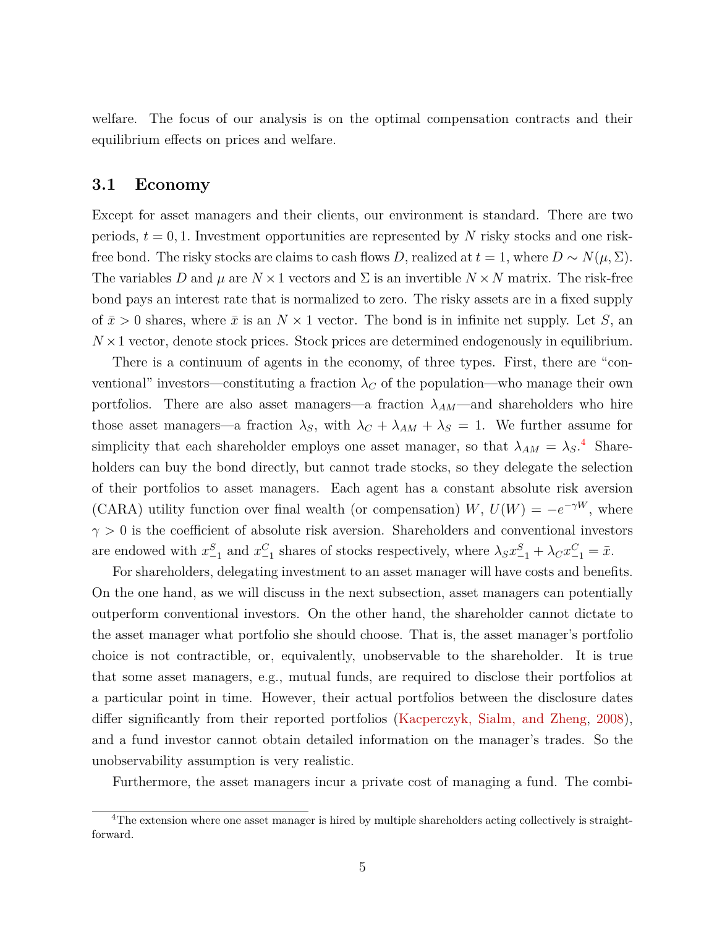welfare. The focus of our analysis is on the optimal compensation contracts and their equilibrium effects on prices and welfare.

#### **3.1 Economy**

Except for asset managers and their clients, our environment is standard. There are two periods,  $t = 0, 1$ . Investment opportunities are represented by N risky stocks and one riskfree bond. The risky stocks are claims to cash flows *D*, realized at  $t = 1$ , where  $D \sim N(\mu, \Sigma)$ . The variables *D* and  $\mu$  are  $N \times 1$  vectors and  $\Sigma$  is an invertible  $N \times N$  matrix. The risk-free bond pays an interest rate that is normalized to zero. The risky assets are in a fixed supply of  $\bar{x} > 0$  shares, where  $\bar{x}$  is an  $N \times 1$  vector. The bond is in infinite net supply. Let *S*, an  $N \times 1$  vector, denote stock prices. Stock prices are determined endogenously in equilibrium.

There is a continuum of agents in the economy, of three types. First, there are "conventional" investors—constituting a fraction  $\lambda_C$  of the population—who manage their own portfolios. There are also asset managers—a fraction  $\lambda_{AM}$ —and shareholders who hire those asset managers—a fraction  $\lambda_S$ , with  $\lambda_C + \lambda_{AM} + \lambda_S = 1$ . We further assume for simplicity that each shareholder employs one asset manager, so that  $\lambda_{AM} = \lambda_S$ <sup>[4](#page-0-0)</sup> Shareholders can buy the bond directly, but cannot trade stocks, so they delegate the selection of their portfolios to asset managers. Each agent has a constant absolute risk aversion (CARA) utility function over final wealth (or compensation) *W*,  $U(W) = -e^{-\gamma W}$ , where  $\gamma > 0$  is the coefficient of absolute risk aversion. Shareholders and conventional investors are endowed with  $x_{-1}^S$  and  $x_{-1}^C$  shares of stocks respectively, where  $\lambda_S x_{-1}^S + \lambda_C x_{-1}^C = \bar{x}$ .

For shareholders, delegating investment to an asset manager will have costs and benefits. On the one hand, as we will discuss in the next subsection, asset managers can potentially outperform conventional investors. On the other hand, the shareholder cannot dictate to the asset manager what portfolio she should choose. That is, the asset manager's portfolio choice is not contractible, or, equivalently, unobservable to the shareholder. It is true that some asset managers, e.g., mutual funds, are required to disclose their portfolios at a particular point in time. However, their actual portfolios between the disclosure dates differ significantly from their reported portfolios [\(Kacperczyk, Sialm, and Zheng,](#page-36-5) [2008\)](#page-36-5), and a fund investor cannot obtain detailed information on the manager's trades. So the unobservability assumption is very realistic.

Furthermore, the asset managers incur a private cost of managing a fund. The combi-

 $\overline{^{4}\text{The}}$  extension where one asset manager is hired by multiple shareholders acting collectively is straightforward.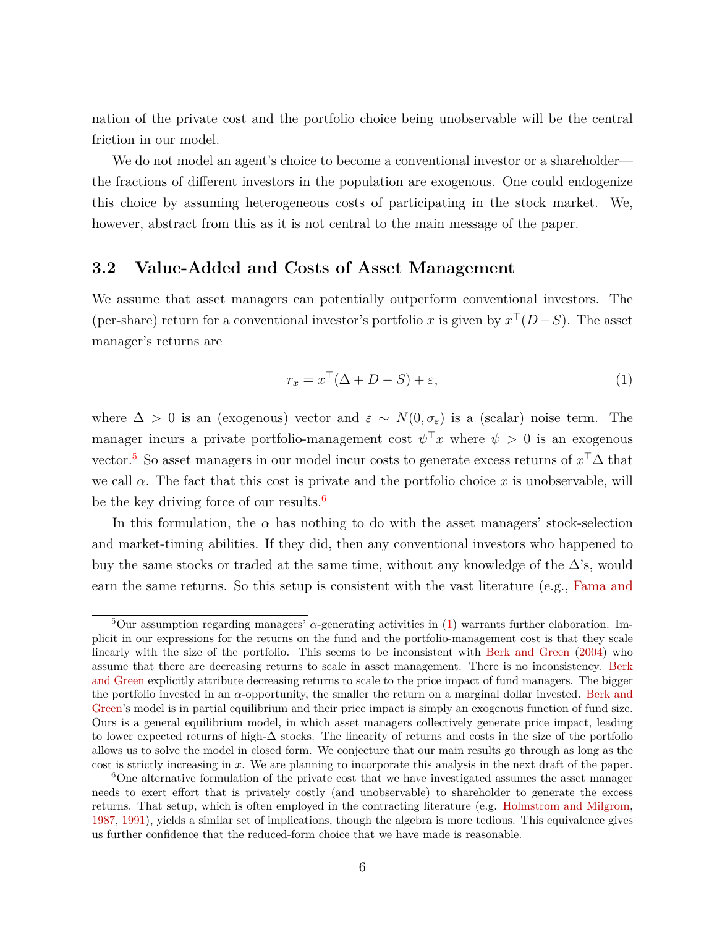nation of the private cost and the portfolio choice being unobservable will be the central friction in our model.

We do not model an agent's choice to become a conventional investor or a shareholder the fractions of different investors in the population are exogenous. One could endogenize this choice by assuming heterogeneous costs of participating in the stock market. We, however, abstract from this as it is not central to the main message of the paper.

## **3.2 Value-Added and Costs of Asset Management**

We assume that asset managers can potentially outperform conventional investors. The (per-share) return for a conventional investor's portfolio *x* is given by  $x^{\top}(D-S)$ . The asset manager's returns are

<span id="page-6-0"></span>
$$
r_x = x^\top (\Delta + D - S) + \varepsilon,\tag{1}
$$

where  $\Delta > 0$  is an (exogenous) vector and  $\varepsilon \sim N(0, \sigma_{\varepsilon})$  is a (scalar) noise term. The manager incurs a private portfolio-management cost  $\psi^{\top}x$  where  $\psi > 0$  is an exogenous vector.<sup>[5](#page-0-0)</sup> So asset managers in our model incur costs to generate excess returns of  $x^{\top} \Delta$  that we call  $\alpha$ . The fact that this cost is private and the portfolio choice x is unobservable, will be the key driving force of our results.<sup>[6](#page-0-0)</sup>

In this formulation, the  $\alpha$  has nothing to do with the asset managers' stock-selection and market-timing abilities. If they did, then any conventional investors who happened to buy the same stocks or traded at the same time, without any knowledge of the  $\Delta$ 's, would earn the same returns. So this setup is consistent with the vast literature (e.g., [Fama and](#page-36-6)

<sup>&</sup>lt;sup>5</sup>Our assumption regarding managers'  $\alpha$ [-generating activities in \(1\) warrants further elaboration. Im](#page-36-6)[plicit in our expressions for the returns on the fund and the portfolio-management cost is that they scale](#page-36-6) [linearly with the size of the portfolio. This seems to be inconsistent with](#page-36-6) [Berk and Green](#page-35-6) [\(2004\)](#page-35-6) who [assume that there are decreasing returns to scale in asset management. There is no inconsistency.](#page-36-6) [Berk](#page-35-6) [and Green](#page-35-6) [explicitly attribute decreasing returns to scale to the price impact of fund managers. The bigger](#page-36-6) the portfolio invested in an *α*[-opportunity, the smaller the return on a marginal dollar invested.](#page-36-6) [Berk and](#page-35-6) [Green's model is in partial equilibrium and their price impact is simply an exogenous function of fund size.](#page-36-6) [Ours is a general equilibrium model, in which asset managers collectively generate price impact, leading](#page-36-6) to lower expected returns of high-∆ [stocks. The linearity of returns and costs in the size of the portfolio](#page-36-6) [allows us to solve the model in closed form. We conjecture that our main results go through as long as the](#page-36-6) cost is strictly increasing in *x*[. We are planning to incorporate this analysis in the next draft of the paper.](#page-36-6)

<sup>&</sup>lt;sup>6</sup>[One alternative formulation of the private cost that we have investigated assumes the asset manager](#page-36-6) [needs to exert effort that is privately costly \(and unobservable\) to shareholder to generate the excess](#page-36-6) [returns. That setup, which is often employed in the contracting literature \(e.g.](#page-36-6) [Holmstrom and Milgrom,](#page-36-1) [1987,](#page-36-1) [1991\), yields a similar set of implications, though the algebra is more tedious. This equivalence gives](#page-36-6) [us further confidence that the reduced-form choice that we have made is reasonable.](#page-36-6)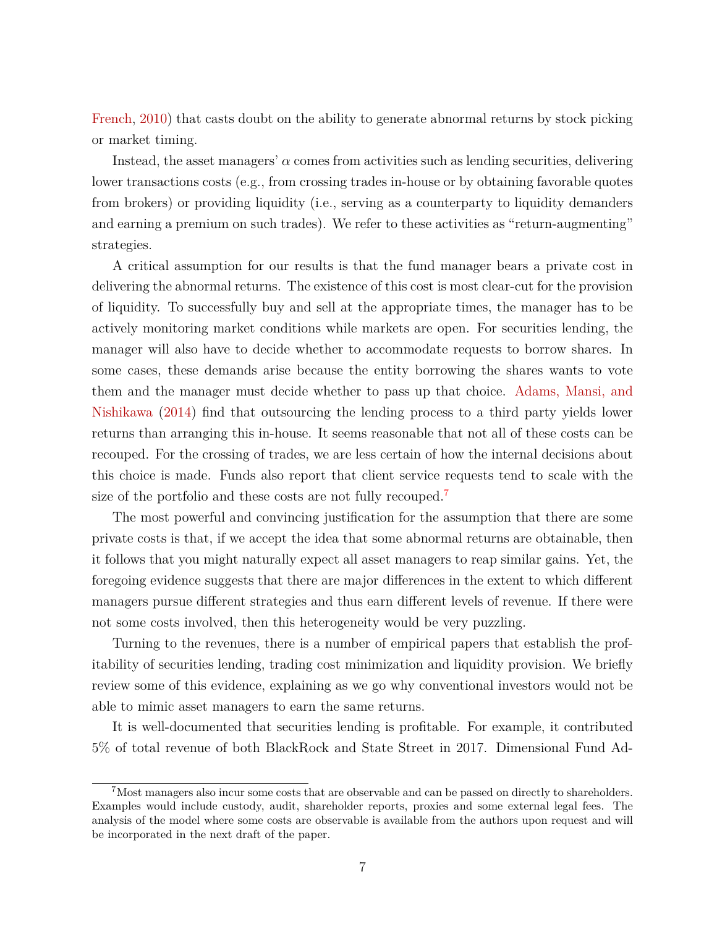[French,](#page-36-6) [2010\)](#page-36-6) that casts doubt on the ability to generate abnormal returns by stock picking or market timing.

Instead, the asset managers'  $\alpha$  comes from activities such as lending securities, delivering lower transactions costs (e.g., from crossing trades in-house or by obtaining favorable quotes from brokers) or providing liquidity (i.e., serving as a counterparty to liquidity demanders and earning a premium on such trades). We refer to these activities as "return-augmenting" strategies.

A critical assumption for our results is that the fund manager bears a private cost in delivering the abnormal returns. The existence of this cost is most clear-cut for the provision of liquidity. To successfully buy and sell at the appropriate times, the manager has to be actively monitoring market conditions while markets are open. For securities lending, the manager will also have to decide whether to accommodate requests to borrow shares. In some cases, these demands arise because the entity borrowing the shares wants to vote them and the manager must decide whether to pass up that choice. [Adams, Mansi, and](#page-35-7) [Nishikawa](#page-35-7) [\(2014\)](#page-35-7) find that outsourcing the lending process to a third party yields lower returns than arranging this in-house. It seems reasonable that not all of these costs can be recouped. For the crossing of trades, we are less certain of how the internal decisions about this choice is made. Funds also report that client service requests tend to scale with the size of the portfolio and these costs are not fully recouped.<sup>[7](#page-0-0)</sup>

The most powerful and convincing justification for the assumption that there are some private costs is that, if we accept the idea that some abnormal returns are obtainable, then it follows that you might naturally expect all asset managers to reap similar gains. Yet, the foregoing evidence suggests that there are major differences in the extent to which different managers pursue different strategies and thus earn different levels of revenue. If there were not some costs involved, then this heterogeneity would be very puzzling.

Turning to the revenues, there is a number of empirical papers that establish the profitability of securities lending, trading cost minimization and liquidity provision. We briefly review some of this evidence, explaining as we go why conventional investors would not be able to mimic asset managers to earn the same returns.

It is well-documented that securities lending is profitable. For example, it contributed 5% of total revenue of both BlackRock and State Street in 2017. Dimensional Fund Ad-

<sup>7</sup>Most managers also incur some costs that are observable and can be passed on directly to shareholders. Examples would include custody, audit, shareholder reports, proxies and some external legal fees. The analysis of the model where some costs are observable is available from the authors upon request and will be incorporated in the next draft of the paper.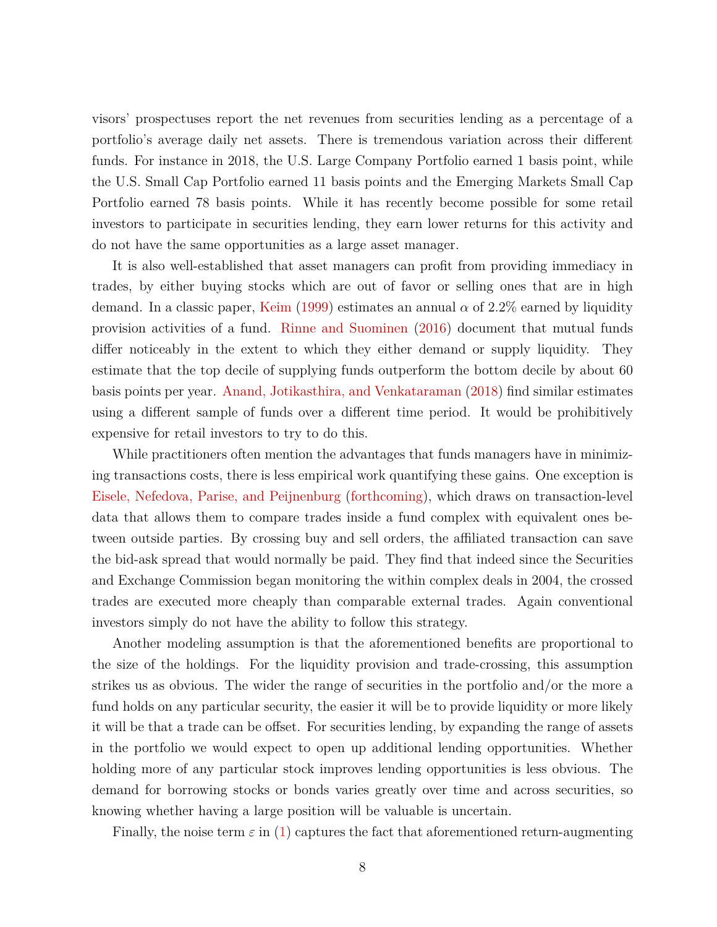visors' prospectuses report the net revenues from securities lending as a percentage of a portfolio's average daily net assets. There is tremendous variation across their different funds. For instance in 2018, the U.S. Large Company Portfolio earned 1 basis point, while the U.S. Small Cap Portfolio earned 11 basis points and the Emerging Markets Small Cap Portfolio earned 78 basis points. While it has recently become possible for some retail investors to participate in securities lending, they earn lower returns for this activity and do not have the same opportunities as a large asset manager.

It is also well-established that asset managers can profit from providing immediacy in trades, by either buying stocks which are out of favor or selling ones that are in high demand. In a classic paper, [Keim](#page-36-7) [\(1999\)](#page-36-7) estimates an annual  $\alpha$  of 2.2% earned by liquidity provision activities of a fund. [Rinne and Suominen](#page-37-3) [\(2016\)](#page-37-3) document that mutual funds differ noticeably in the extent to which they either demand or supply liquidity. They estimate that the top decile of supplying funds outperform the bottom decile by about 60 basis points per year. [Anand, Jotikasthira, and Venkataraman](#page-35-8) [\(2018\)](#page-35-8) find similar estimates using a different sample of funds over a different time period. It would be prohibitively expensive for retail investors to try to do this.

While practitioners often mention the advantages that funds managers have in minimizing transactions costs, there is less empirical work quantifying these gains. One exception is [Eisele, Nefedova, Parise, and Peijnenburg](#page-36-8) [\(forthcoming\)](#page-36-8), which draws on transaction-level data that allows them to compare trades inside a fund complex with equivalent ones between outside parties. By crossing buy and sell orders, the affiliated transaction can save the bid-ask spread that would normally be paid. They find that indeed since the Securities and Exchange Commission began monitoring the within complex deals in 2004, the crossed trades are executed more cheaply than comparable external trades. Again conventional investors simply do not have the ability to follow this strategy.

Another modeling assumption is that the aforementioned benefits are proportional to the size of the holdings. For the liquidity provision and trade-crossing, this assumption strikes us as obvious. The wider the range of securities in the portfolio and/or the more a fund holds on any particular security, the easier it will be to provide liquidity or more likely it will be that a trade can be offset. For securities lending, by expanding the range of assets in the portfolio we would expect to open up additional lending opportunities. Whether holding more of any particular stock improves lending opportunities is less obvious. The demand for borrowing stocks or bonds varies greatly over time and across securities, so knowing whether having a large position will be valuable is uncertain.

Finally, the noise term  $\varepsilon$  in [\(1\)](#page-6-0) captures the fact that aforementioned return-augmenting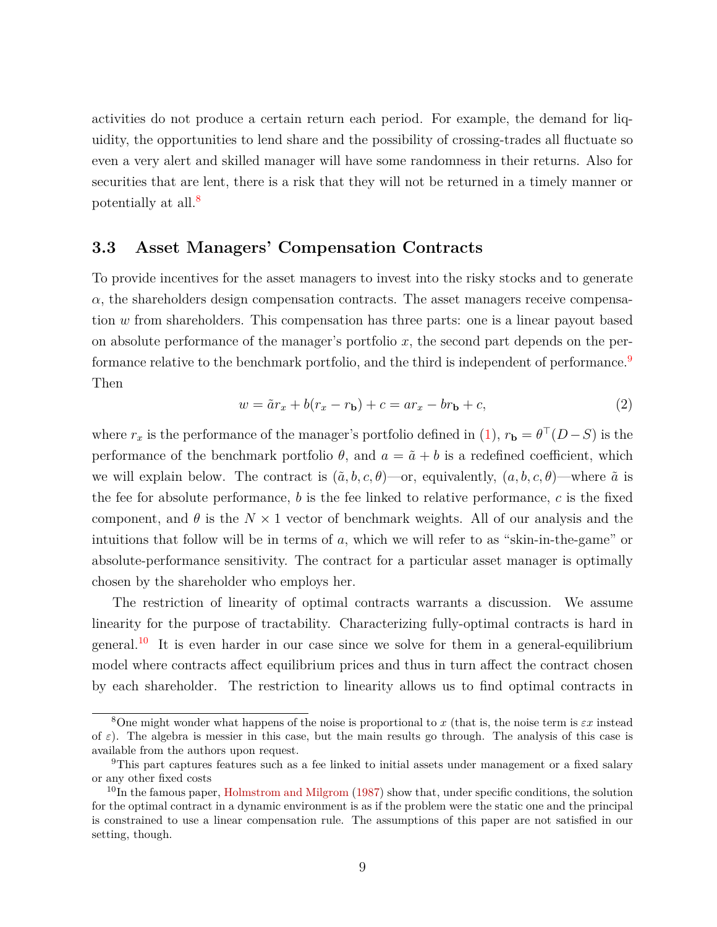activities do not produce a certain return each period. For example, the demand for liquidity, the opportunities to lend share and the possibility of crossing-trades all fluctuate so even a very alert and skilled manager will have some randomness in their returns. Also for securities that are lent, there is a risk that they will not be returned in a timely manner or potentially at all.[8](#page-0-0)

### **3.3 Asset Managers' Compensation Contracts**

To provide incentives for the asset managers to invest into the risky stocks and to generate  $\alpha$ , the shareholders design compensation contracts. The asset managers receive compensation *w* from shareholders. This compensation has three parts: one is a linear payout based on absolute performance of the manager's portfolio *x*, the second part depends on the per-formance relative to the benchmark portfolio, and the third is independent of performance.<sup>[9](#page-0-0)</sup> Then

<span id="page-9-0"></span>
$$
w = \tilde{a}r_x + b(r_x - r_b) + c = ar_x - br_b + c,\tag{2}
$$

where  $r_x$  is the performance of the manager's portfolio defined in [\(1\)](#page-6-0),  $r_b = \theta^{\top}(D - S)$  is the performance of the benchmark portfolio  $\theta$ , and  $a = \tilde{a} + b$  is a redefined coefficient, which we will explain below. The contract is  $(\tilde{a}, b, c, \theta)$ —or, equivalently,  $(a, b, c, \theta)$ —where  $\tilde{a}$  is the fee for absolute performance, *b* is the fee linked to relative performance, *c* is the fixed component, and  $\theta$  is the  $N \times 1$  vector of benchmark weights. All of our analysis and the intuitions that follow will be in terms of *a*, which we will refer to as "skin-in-the-game" or absolute-performance sensitivity. The contract for a particular asset manager is optimally chosen by the shareholder who employs her.

The restriction of linearity of optimal contracts warrants a discussion. We assume linearity for the purpose of tractability. Characterizing fully-optimal contracts is hard in general.<sup>[10](#page-0-0)</sup> It is even harder in our case since we solve for them in a general-equilibrium model where contracts affect equilibrium prices and thus in turn affect the contract chosen by each shareholder. The restriction to linearity allows us to find optimal contracts in

<sup>8</sup>One might wonder what happens of the noise is proportional to *x* (that is, the noise term is *εx* instead of  $\varepsilon$ ). The algebra is messier in this case, but the main results go through. The analysis of this case is available from the authors upon request.

<sup>9</sup>This part captures features such as a fee linked to initial assets under management or a fixed salary or any other fixed costs

 $10$ In the famous paper, [Holmstrom and Milgrom](#page-36-1) [\(1987\)](#page-36-1) show that, under specific conditions, the solution for the optimal contract in a dynamic environment is as if the problem were the static one and the principal is constrained to use a linear compensation rule. The assumptions of this paper are not satisfied in our setting, though.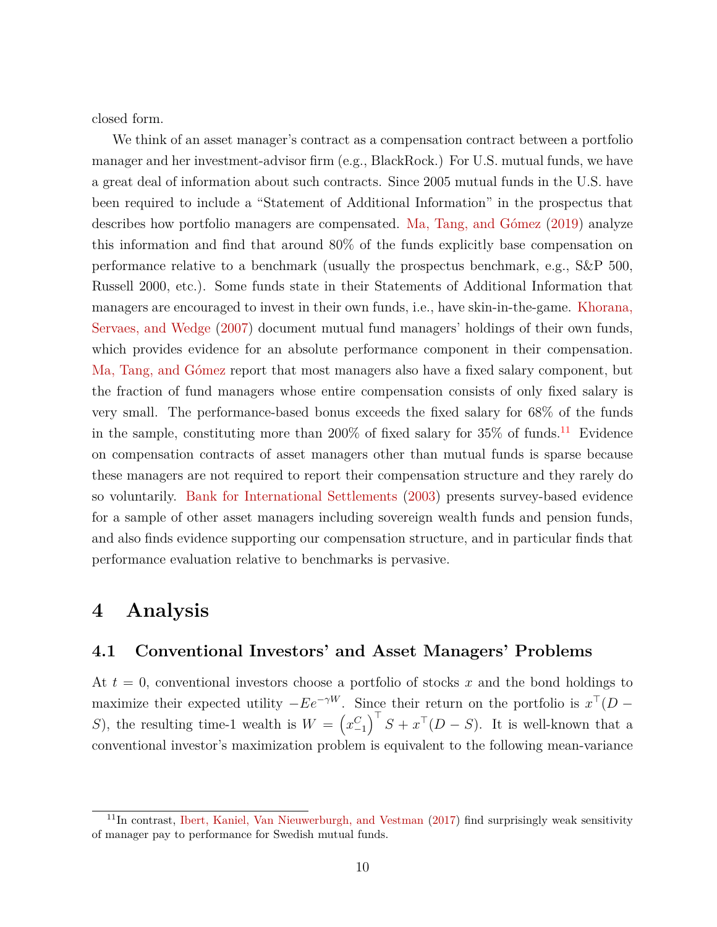closed form.

We think of an asset manager's contract as a compensation contract between a portfolio manager and her investment-advisor firm (e.g., BlackRock.) For U.S. mutual funds, we have a great deal of information about such contracts. Since 2005 mutual funds in the U.S. have been required to include a "Statement of Additional Information" in the prospectus that describes how portfolio managers are compensated. [Ma, Tang, and Gómez](#page-37-0) [\(2019\)](#page-37-0) analyze this information and find that around 80% of the funds explicitly base compensation on performance relative to a benchmark (usually the prospectus benchmark, e.g., S&P 500, Russell 2000, etc.). Some funds state in their Statements of Additional Information that managers are encouraged to invest in their own funds, i.e., have skin-in-the-game. [Khorana,](#page-37-4) [Servaes, and Wedge](#page-37-4) [\(2007\)](#page-37-4) document mutual fund managers' holdings of their own funds, which provides evidence for an absolute performance component in their compensation. [Ma, Tang, and Gómez](#page-37-0) report that most managers also have a fixed salary component, but the fraction of fund managers whose entire compensation consists of only fixed salary is very small. The performance-based bonus exceeds the fixed salary for 68% of the funds in the sample, constituting more than  $200\%$  of fixed salary for  $35\%$  of funds.<sup>[11](#page-0-0)</sup> Evidence on compensation contracts of asset managers other than mutual funds is sparse because these managers are not required to report their compensation structure and they rarely do so voluntarily. [Bank for International Settlements](#page-35-9) [\(2003\)](#page-35-9) presents survey-based evidence for a sample of other asset managers including sovereign wealth funds and pension funds, and also finds evidence supporting our compensation structure, and in particular finds that performance evaluation relative to benchmarks is pervasive.

## <span id="page-10-0"></span>**4 Analysis**

## <span id="page-10-1"></span>**4.1 Conventional Investors' and Asset Managers' Problems**

At  $t = 0$ , conventional investors choose a portfolio of stocks x and the bond holdings to maximize their expected utility  $-Ee^{-\gamma W}$ . Since their return on the portfolio is  $x^{\top}(D -$ *S*), the resulting time-1 wealth is  $W = (x_{-1}^C)^T S + x^T (D - S)$ . It is well-known that a conventional investor's maximization problem is equivalent to the following mean-variance

 $11$ In contrast, [Ibert, Kaniel, Van Nieuwerburgh, and Vestman](#page-36-9) [\(2017\)](#page-36-9) find surprisingly weak sensitivity of manager pay to performance for Swedish mutual funds.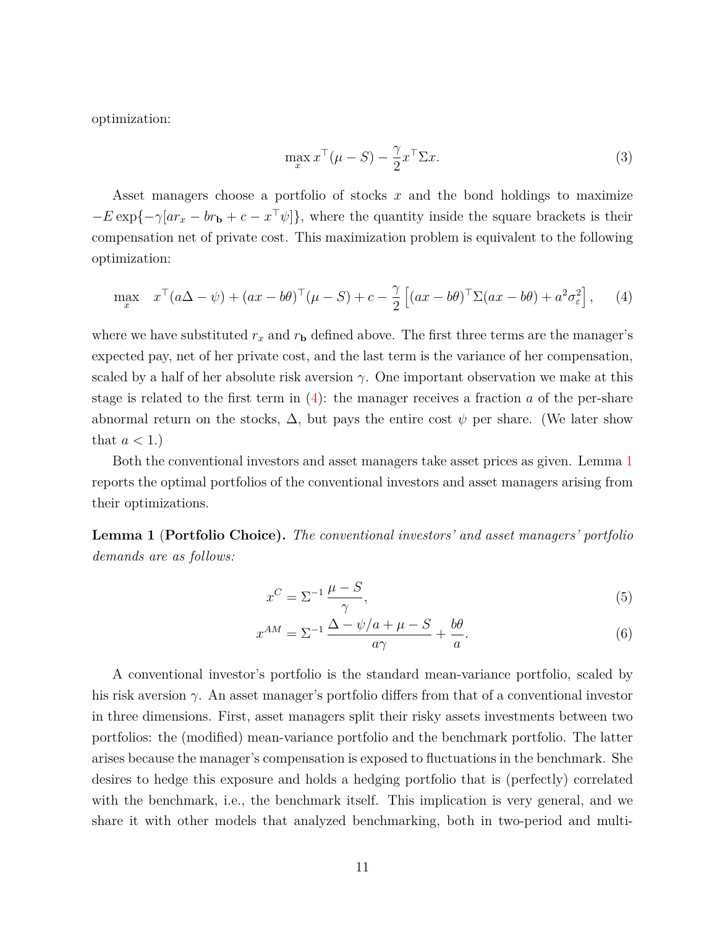optimization:

<span id="page-11-4"></span><span id="page-11-0"></span>
$$
\max_{x} x^{\top}(\mu - S) - \frac{\gamma}{2} x^{\top} \Sigma x.
$$
\n(3)

Asset managers choose a portfolio of stocks *x* and the bond holdings to maximize  $-E \exp{-\gamma [a r_x - b r_b + c - x^{\top} \psi]}$ , where the quantity inside the square brackets is their compensation net of private cost. This maximization problem is equivalent to the following optimization:

$$
\max_{x} \quad x^{\top} (a\Delta - \psi) + (ax - b\theta)^{\top} (\mu - S) + c - \frac{\gamma}{2} \left[ (ax - b\theta)^{\top} \Sigma (ax - b\theta) + a^2 \sigma_{\varepsilon}^2 \right], \tag{4}
$$

where we have substituted  $r_x$  and  $r_b$  defined above. The first three terms are the manager's expected pay, net of her private cost, and the last term is the variance of her compensation, scaled by a half of her absolute risk aversion  $\gamma$ . One important observation we make at this stage is related to the first term in [\(4\)](#page-11-0): the manager receives a fraction *a* of the per-share abnormal return on the stocks,  $\Delta$ , but pays the entire cost  $\psi$  per share. (We later show that  $a < 1$ .)

Both the conventional investors and asset managers take asset prices as given. Lemma [1](#page-11-1) reports the optimal portfolios of the conventional investors and asset managers arising from their optimizations.

<span id="page-11-1"></span>**Lemma 1** (**Portfolio Choice).** *The conventional investors' and asset managers' portfolio demands are as follows:*

<span id="page-11-3"></span><span id="page-11-2"></span>
$$
x^C = \Sigma^{-1} \frac{\mu - S}{\gamma},\tag{5}
$$

$$
x^{AM} = \Sigma^{-1} \frac{\Delta - \psi/a + \mu - S}{a\gamma} + \frac{b\theta}{a}.
$$
 (6)

A conventional investor's portfolio is the standard mean-variance portfolio, scaled by his risk aversion  $\gamma$ . An asset manager's portfolio differs from that of a conventional investor in three dimensions. First, asset managers split their risky assets investments between two portfolios: the (modified) mean-variance portfolio and the benchmark portfolio. The latter arises because the manager's compensation is exposed to fluctuations in the benchmark. She desires to hedge this exposure and holds a hedging portfolio that is (perfectly) correlated with the benchmark, i.e., the benchmark itself. This implication is very general, and we share it with other models that analyzed benchmarking, both in two-period and multi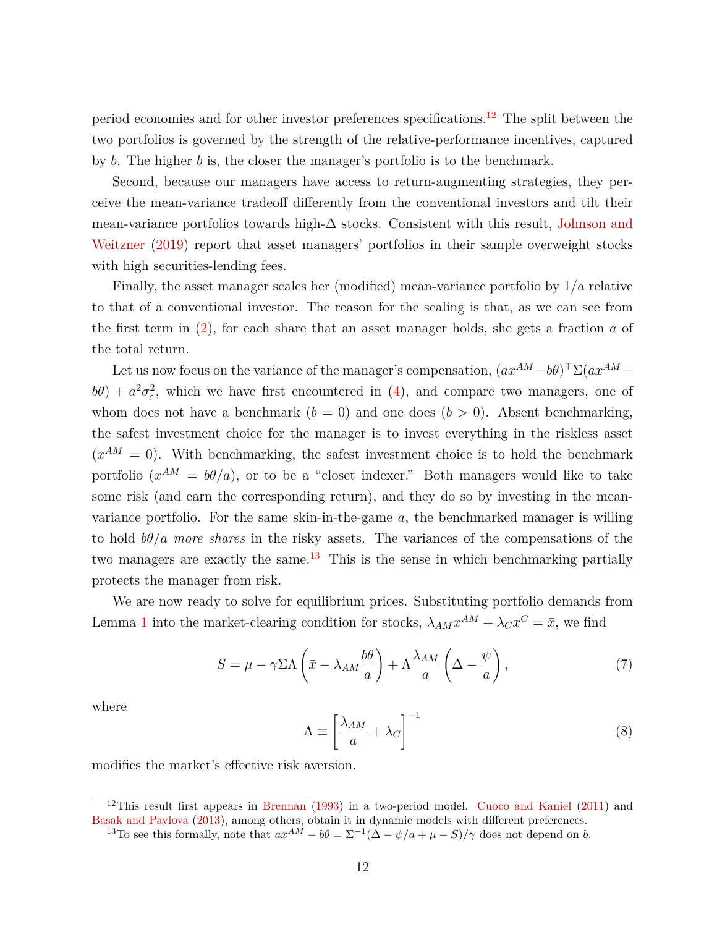period economies and for other investor preferences specifications.[12](#page-0-0) The split between the two portfolios is governed by the strength of the relative-performance incentives, captured by *b*. The higher *b* is, the closer the manager's portfolio is to the benchmark.

Second, because our managers have access to return-augmenting strategies, they perceive the mean-variance tradeoff differently from the conventional investors and tilt their mean-variance portfolios towards high-∆ stocks. Consistent with this result, [Johnson and](#page-36-10) [Weitzner](#page-36-10) [\(2019\)](#page-36-10) report that asset managers' portfolios in their sample overweight stocks with high securities-lending fees.

Finally, the asset manager scales her (modified) mean-variance portfolio by 1*/a* relative to that of a conventional investor. The reason for the scaling is that, as we can see from the first term in [\(2\)](#page-9-0), for each share that an asset manager holds, she gets a fraction *a* of the total return.

Let us now focus on the variance of the manager's compensation,  $(ax^{AM}-b\theta)^\top \Sigma(ax^{AM}$  $b\theta$ ) +  $a^2\sigma_{\varepsilon}^2$ , which we have first encountered in [\(4\)](#page-11-0), and compare two managers, one of whom does not have a benchmark  $(b = 0)$  and one does  $(b > 0)$ . Absent benchmarking, the safest investment choice for the manager is to invest everything in the riskless asset  $(x^{AM} = 0)$ . With benchmarking, the safest investment choice is to hold the benchmark portfolio  $(x^{AM} = b\theta/a)$ , or to be a "closet indexer." Both managers would like to take some risk (and earn the corresponding return), and they do so by investing in the meanvariance portfolio. For the same skin-in-the-game *a*, the benchmarked manager is willing to hold  $b\theta/a$  *more shares* in the risky assets. The variances of the compensations of the two managers are exactly the same. $13$  This is the sense in which benchmarking partially protects the manager from risk.

We are now ready to solve for equilibrium prices. Substituting portfolio demands from Lemma [1](#page-11-1) into the market-clearing condition for stocks,  $\lambda_{AM} x^{AM} + \lambda_C x^C = \bar{x}$ , we find

$$
S = \mu - \gamma \Sigma \Lambda \left( \bar{x} - \lambda_{AM} \frac{b\theta}{a} \right) + \Lambda \frac{\lambda_{AM}}{a} \left( \Delta - \frac{\psi}{a} \right),\tag{7}
$$

where

<span id="page-12-1"></span><span id="page-12-0"></span>
$$
\Lambda \equiv \left[\frac{\lambda_{AM}}{a} + \lambda_C\right]^{-1} \tag{8}
$$

modifies the market's effective risk aversion.

<sup>12</sup>This result first appears in [Brennan](#page-35-1) [\(1993\)](#page-35-1) in a two-period model. [Cuoco and Kaniel](#page-35-2) [\(2011\)](#page-35-2) and [Basak and Pavlova](#page-35-3) [\(2013\)](#page-35-3), among others, obtain it in dynamic models with different preferences.

<sup>&</sup>lt;sup>13</sup>To see this formally, note that  $ax^{AM} - b\theta = \Sigma^{-1}(\Delta - \psi/a + \mu - S)/\gamma$  does not depend on *b*.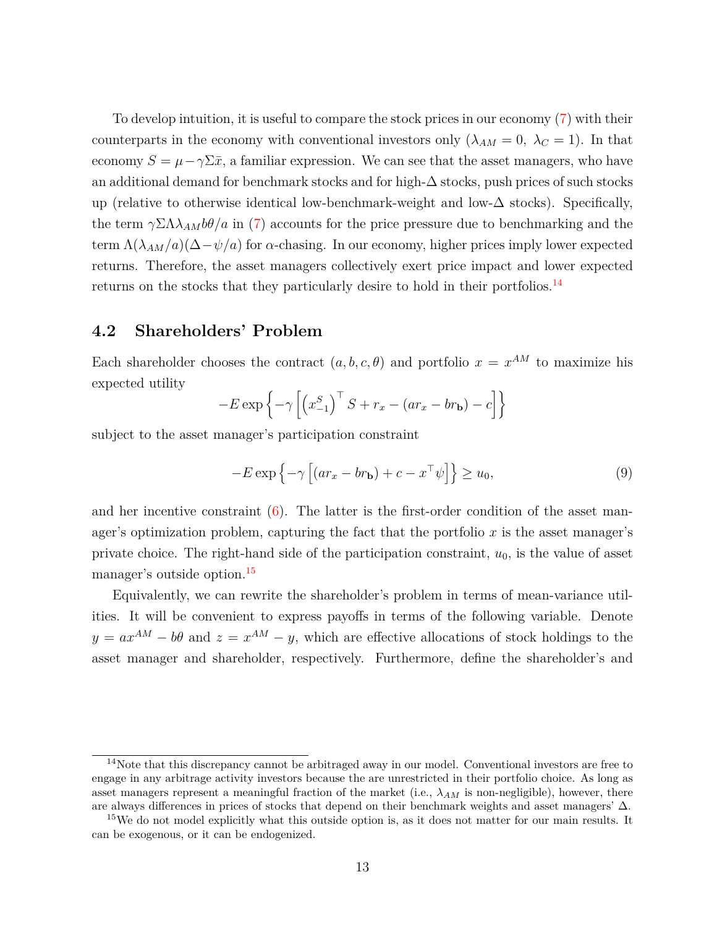To develop intuition, it is useful to compare the stock prices in our economy [\(7\)](#page-12-0) with their counterparts in the economy with conventional investors only  $(\lambda_{AM} = 0, \lambda_C = 1)$ . In that economy  $S = \mu - \gamma \Sigma \bar{x}$ , a familiar expression. We can see that the asset managers, who have an additional demand for benchmark stocks and for high- $\Delta$  stocks, push prices of such stocks up (relative to otherwise identical low-benchmark-weight and low- $\Delta$  stocks). Specifically, the term  $\gamma \Sigma \Lambda \lambda_{AM} b\theta / a$  in [\(7\)](#page-12-0) accounts for the price pressure due to benchmarking and the term  $\Lambda(\lambda_{AM}/a)(\Delta-\psi/a)$  for  $\alpha$ -chasing. In our economy, higher prices imply lower expected returns. Therefore, the asset managers collectively exert price impact and lower expected returns on the stocks that they particularly desire to hold in their portfolios.<sup>[14](#page-0-0)</sup>

### **4.2 Shareholders' Problem**

Each shareholder chooses the contract  $(a, b, c, \theta)$  and portfolio  $x = x^{AM}$  to maximize his expected utility

$$
-E\exp\left\{-\gamma\left[\left(x_{-1}^{S}\right)^{\top}S + r_{x} - (ar_{x} - br_{b}) - c\right]\right\}
$$

subject to the asset manager's participation constraint

<span id="page-13-0"></span>
$$
-E \exp\left\{-\gamma \left[ \left( ar_x - br_{\mathbf{b}} \right) + c - x^{\top} \psi \right] \right\} \ge u_0,
$$
\n(9)

and her incentive constraint  $(6)$ . The latter is the first-order condition of the asset manager's optimization problem, capturing the fact that the portfolio *x* is the asset manager's private choice. The right-hand side of the participation constraint, *u*0, is the value of asset manager's outside option.[15](#page-0-0)

Equivalently, we can rewrite the shareholder's problem in terms of mean-variance utilities. It will be convenient to express payoffs in terms of the following variable. Denote  $y = ax^{AM} - b\theta$  and  $z = x^{AM} - y$ , which are effective allocations of stock holdings to the asset manager and shareholder, respectively. Furthermore, define the shareholder's and

<sup>14</sup>Note that this discrepancy cannot be arbitraged away in our model. Conventional investors are free to engage in any arbitrage activity investors because the are unrestricted in their portfolio choice. As long as asset managers represent a meaningful fraction of the market (i.e., *λAM* is non-negligible), however, there are always differences in prices of stocks that depend on their benchmark weights and asset managers'  $\Delta$ .

<sup>&</sup>lt;sup>15</sup>We do not model explicitly what this outside option is, as it does not matter for our main results. It can be exogenous, or it can be endogenized.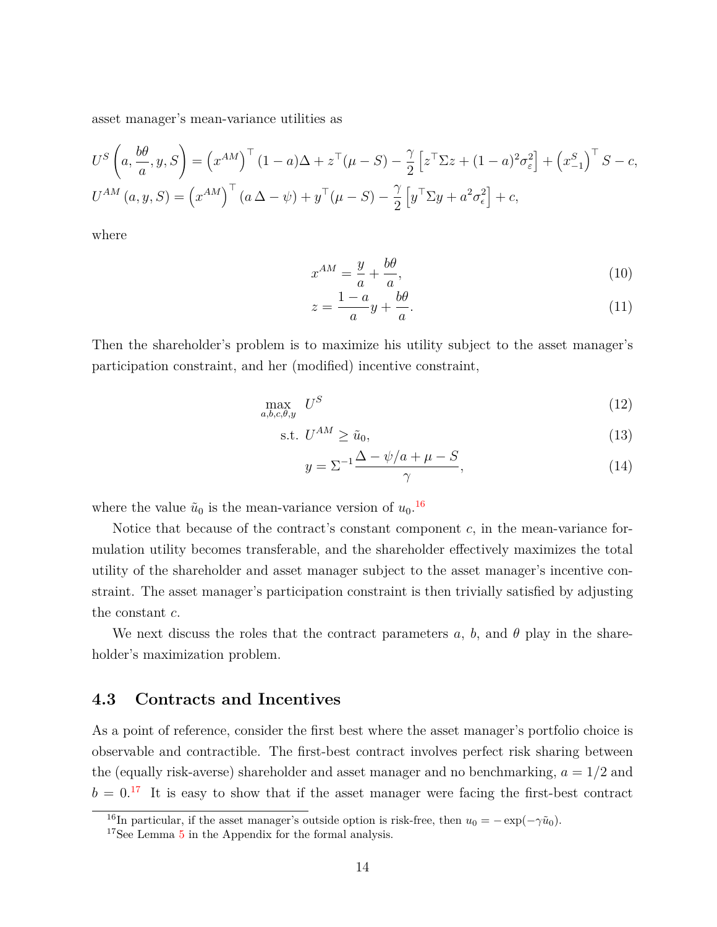asset manager's mean-variance utilities as

$$
U^S\left(a, \frac{b\theta}{a}, y, S\right) = \left(x^{AM}\right)^\top (1 - a)\Delta + z^\top(\mu - S) - \frac{\gamma}{2} \left[z^\top \Sigma z + (1 - a)^2 \sigma_\varepsilon^2\right] + \left(x_{-1}^S\right)^\top S - c,
$$
  

$$
U^{AM}\left(a, y, S\right) = \left(x^{AM}\right)^\top \left(a\Delta - \psi\right) + y^\top(\mu - S) - \frac{\gamma}{2} \left[y^\top \Sigma y + a^2 \sigma_\varepsilon^2\right] + c,
$$

where

$$
x^{AM} = \frac{y}{a} + \frac{b\theta}{a},\tag{10}
$$

<span id="page-14-1"></span><span id="page-14-0"></span>
$$
z = \frac{1 - a}{a}y + \frac{b\theta}{a}.\tag{11}
$$

Then the shareholder's problem is to maximize his utility subject to the asset manager's participation constraint, and her (modified) incentive constraint,

$$
\max_{a,b,c,\theta,y} U^S \tag{12}
$$

$$
\text{s.t. } U^{AM} \ge \tilde{u}_0,\tag{13}
$$

<span id="page-14-3"></span><span id="page-14-2"></span>
$$
y = \Sigma^{-1} \frac{\Delta - \psi/a + \mu - S}{\gamma},\tag{14}
$$

where the value  $\tilde{u}_0$  is the mean-variance version of  $u_0$ .<sup>[16](#page-0-0)</sup>

Notice that because of the contract's constant component *c*, in the mean-variance formulation utility becomes transferable, and the shareholder effectively maximizes the total utility of the shareholder and asset manager subject to the asset manager's incentive constraint. The asset manager's participation constraint is then trivially satisfied by adjusting the constant *c*.

We next discuss the roles that the contract parameters  $a, b$ , and  $\theta$  play in the shareholder's maximization problem.

## **4.3 Contracts and Incentives**

As a point of reference, consider the first best where the asset manager's portfolio choice is observable and contractible. The first-best contract involves perfect risk sharing between the (equally risk-averse) shareholder and asset manager and no benchmarking,  $a = 1/2$  and  $b = 0$ <sup>[17](#page-0-0)</sup> It is easy to show that if the asset manager were facing the first-best contract

<sup>&</sup>lt;sup>16</sup>In particular, if the asset manager's outside option is risk-free, then  $u_0 = -\exp(-\gamma \tilde{u}_0)$ .

<sup>&</sup>lt;sup>17</sup>See Lemma [5](#page-27-0) in the Appendix for the formal analysis.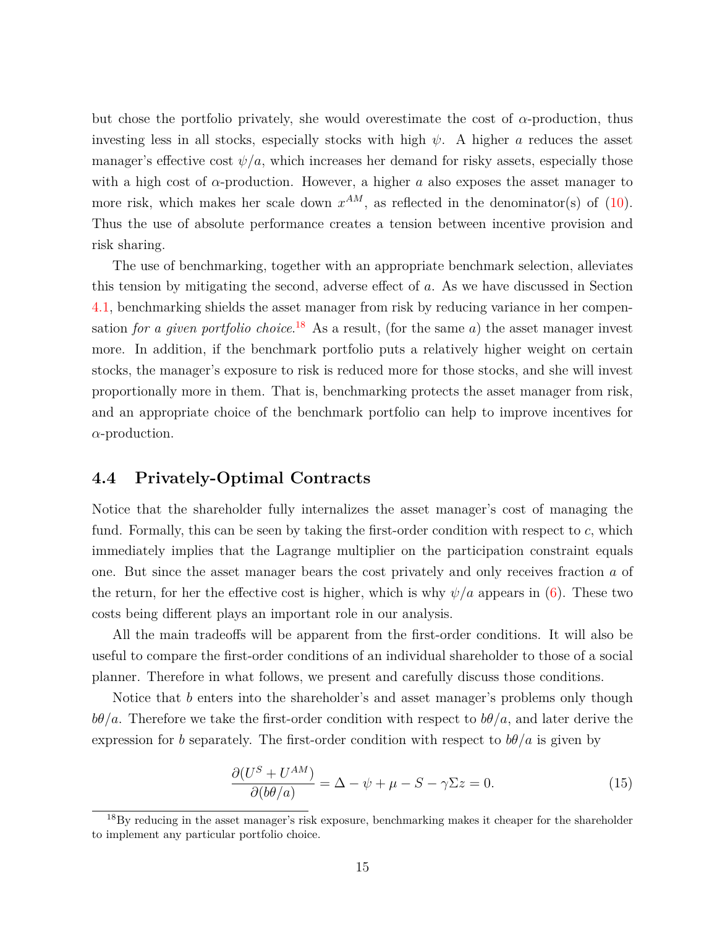but chose the portfolio privately, she would overestimate the cost of *α*-production, thus investing less in all stocks, especially stocks with high  $\psi$ . A higher *a* reduces the asset manager's effective cost  $\psi/a$ , which increases her demand for risky assets, especially those with a high cost of  $\alpha$ -production. However, a higher  $\alpha$  also exposes the asset manager to more risk, which makes her scale down  $x^{AM}$ , as reflected in the denominator(s) of [\(10\)](#page-14-0). Thus the use of absolute performance creates a tension between incentive provision and risk sharing.

The use of benchmarking, together with an appropriate benchmark selection, alleviates this tension by mitigating the second, adverse effect of *a*. As we have discussed in Section [4.1,](#page-10-1) benchmarking shields the asset manager from risk by reducing variance in her compensation *for a given portfolio choice*. [18](#page-0-0) As a result, (for the same *a*) the asset manager invest more. In addition, if the benchmark portfolio puts a relatively higher weight on certain stocks, the manager's exposure to risk is reduced more for those stocks, and she will invest proportionally more in them. That is, benchmarking protects the asset manager from risk, and an appropriate choice of the benchmark portfolio can help to improve incentives for *α*-production.

## **4.4 Privately-Optimal Contracts**

Notice that the shareholder fully internalizes the asset manager's cost of managing the fund. Formally, this can be seen by taking the first-order condition with respect to *c*, which immediately implies that the Lagrange multiplier on the participation constraint equals one. But since the asset manager bears the cost privately and only receives fraction *a* of the return, for her the effective cost is higher, which is why  $\psi/a$  appears in [\(6\)](#page-11-2). These two costs being different plays an important role in our analysis.

All the main tradeoffs will be apparent from the first-order conditions. It will also be useful to compare the first-order conditions of an individual shareholder to those of a social planner. Therefore in what follows, we present and carefully discuss those conditions.

Notice that *b* enters into the shareholder's and asset manager's problems only though *bθ/a*. Therefore we take the first-order condition with respect to *bθ/a*, and later derive the expression for *b* separately. The first-order condition with respect to  $b\theta/a$  is given by

<span id="page-15-0"></span>
$$
\frac{\partial (U^S + U^{AM})}{\partial (b\theta/a)} = \Delta - \psi + \mu - S - \gamma \Sigma z = 0.
$$
 (15)

<sup>&</sup>lt;sup>18</sup>By reducing in the asset manager's risk exposure, benchmarking makes it cheaper for the shareholder to implement any particular portfolio choice.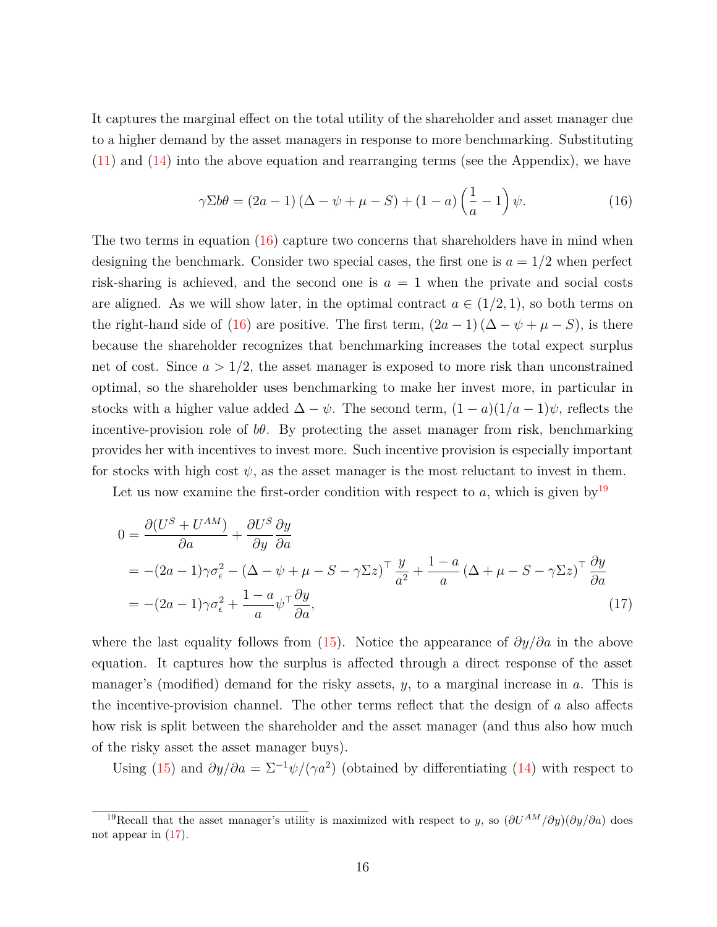It captures the marginal effect on the total utility of the shareholder and asset manager due to a higher demand by the asset managers in response to more benchmarking. Substituting [\(11\)](#page-14-1) and [\(14\)](#page-14-2) into the above equation and rearranging terms (see the Appendix), we have

<span id="page-16-0"></span>
$$
\gamma \Sigma b \theta = (2a - 1)(\Delta - \psi + \mu - S) + (1 - a)\left(\frac{1}{a} - 1\right)\psi.
$$
 (16)

The two terms in equation [\(16\)](#page-16-0) capture two concerns that shareholders have in mind when designing the benchmark. Consider two special cases, the first one is  $a = 1/2$  when perfect risk-sharing is achieved, and the second one is  $a = 1$  when the private and social costs are aligned. As we will show later, in the optimal contract  $a \in (1/2, 1)$ , so both terms on the right-hand side of [\(16\)](#page-16-0) are positive. The first term,  $(2a - 1)(\Delta - \psi + \mu - S)$ , is there because the shareholder recognizes that benchmarking increases the total expect surplus net of cost. Since  $a > 1/2$ , the asset manager is exposed to more risk than unconstrained optimal, so the shareholder uses benchmarking to make her invest more, in particular in stocks with a higher value added  $\Delta - \psi$ . The second term,  $(1 - a)(1/a - 1)\psi$ , reflects the incentive-provision role of *bθ*. By protecting the asset manager from risk, benchmarking provides her with incentives to invest more. Such incentive provision is especially important for stocks with high cost  $\psi$ , as the asset manager is the most reluctant to invest in them.

Let us now examine the first-order condition with respect to  $a$ , which is given by<sup>[19](#page-0-0)</sup>

<span id="page-16-1"></span>
$$
0 = \frac{\partial (U^S + U^{AM})}{\partial a} + \frac{\partial U^S}{\partial y} \frac{\partial y}{\partial a}
$$
  
= -(2a - 1)\gamma \sigma\_\epsilon^2 - (\Delta - \psi + \mu - S - \gamma \Sigma z)^{\top} \frac{y}{a^2} + \frac{1 - a}{a} (\Delta + \mu - S - \gamma \Sigma z)^{\top} \frac{\partial y}{\partial a}  
= -(2a - 1)\gamma \sigma\_\epsilon^2 + \frac{1 - a}{a} \psi^{\top} \frac{\partial y}{\partial a}, \tag{17}

where the last equality follows from [\(15\)](#page-15-0). Notice the appearance of *∂y/∂a* in the above equation. It captures how the surplus is affected through a direct response of the asset manager's (modified) demand for the risky assets, *y*, to a marginal increase in *a*. This is the incentive-provision channel. The other terms reflect that the design of *a* also affects how risk is split between the shareholder and the asset manager (and thus also how much of the risky asset the asset manager buys).

Using [\(15\)](#page-15-0) and  $\partial y/\partial a = \Sigma^{-1}\psi/(\gamma a^2)$  (obtained by differentiating [\(14\)](#page-14-2) with respect to

<sup>&</sup>lt;sup>19</sup>Recall that the asset manager's utility is maximized with respect to *y*, so  $(\partial U^{AM}/\partial y)(\partial y/\partial a)$  does not appear in [\(17\)](#page-16-1).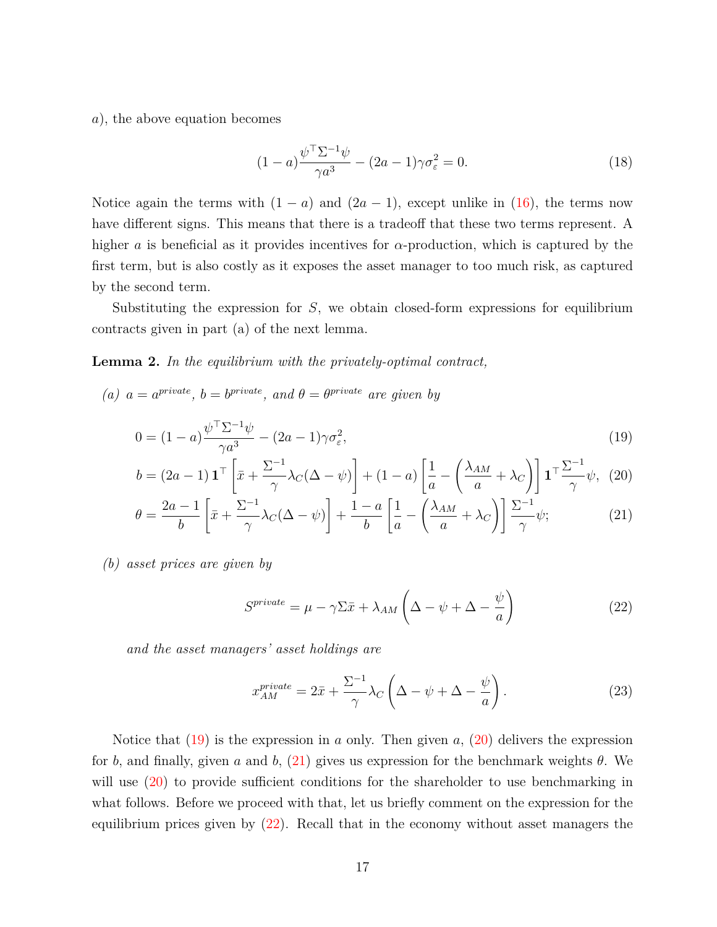*a*), the above equation becomes

<span id="page-17-6"></span>
$$
(1-a)\frac{\psi^{\top} \Sigma^{-1} \psi}{\gamma a^3} - (2a-1)\gamma \sigma_{\varepsilon}^2 = 0.
$$
 (18)

Notice again the terms with  $(1 - a)$  and  $(2a - 1)$ , except unlike in  $(16)$ , the terms now have different signs. This means that there is a tradeoff that these two terms represent. A higher *a* is beneficial as it provides incentives for *α*-production, which is captured by the first term, but is also costly as it exposes the asset manager to too much risk, as captured by the second term.

Substituting the expression for *S*, we obtain closed-form expressions for equilibrium contracts given in part (a) of the next lemma.

<span id="page-17-5"></span>**Lemma 2.** *In the equilibrium with the privately-optimal contract,*

(*a*)  $a = a^{private}$ ,  $b = b^{private}$ , and  $\theta = \theta^{private}$  are given by

$$
0 = (1 - a)\frac{\psi^{\top} \Sigma^{-1} \psi}{\gamma a^3} - (2a - 1)\gamma \sigma_{\varepsilon}^2,\tag{19}
$$

$$
b = (2a - 1) \mathbf{1}^\top \left[ \bar{x} + \frac{\Sigma^{-1}}{\gamma} \lambda_C (\Delta - \psi) \right] + (1 - a) \left[ \frac{1}{a} - \left( \frac{\lambda_{AM}}{a} + \lambda_C \right) \right] \mathbf{1}^\top \frac{\Sigma^{-1}}{\gamma} \psi, \tag{20}
$$

$$
\theta = \frac{2a - 1}{b} \left[ \bar{x} + \frac{\Sigma^{-1}}{\gamma} \lambda_C (\Delta - \psi) \right] + \frac{1 - a}{b} \left[ \frac{1}{a} - \left( \frac{\lambda_{AM}}{a} + \lambda_C \right) \right] \frac{\Sigma^{-1}}{\gamma} \psi; \tag{21}
$$

*(b) asset prices are given by*

<span id="page-17-3"></span><span id="page-17-2"></span><span id="page-17-1"></span><span id="page-17-0"></span>
$$
S^{private} = \mu - \gamma \Sigma \bar{x} + \lambda_{AM} \left( \Delta - \psi + \Delta - \frac{\psi}{a} \right)
$$
 (22)

*and the asset managers' asset holdings are*

<span id="page-17-4"></span>
$$
x_{AM}^{private} = 2\bar{x} + \frac{\Sigma^{-1}}{\gamma} \lambda_C \left(\Delta - \psi + \Delta - \frac{\psi}{a}\right). \tag{23}
$$

Notice that [\(19\)](#page-17-0) is the expression in *a* only. Then given *a*, [\(20\)](#page-17-1) delivers the expression for *b*, and finally, given *a* and *b*, [\(21\)](#page-17-2) gives us expression for the benchmark weights *θ*. We will use  $(20)$  to provide sufficient conditions for the shareholder to use benchmarking in what follows. Before we proceed with that, let us briefly comment on the expression for the equilibrium prices given by [\(22\)](#page-17-3). Recall that in the economy without asset managers the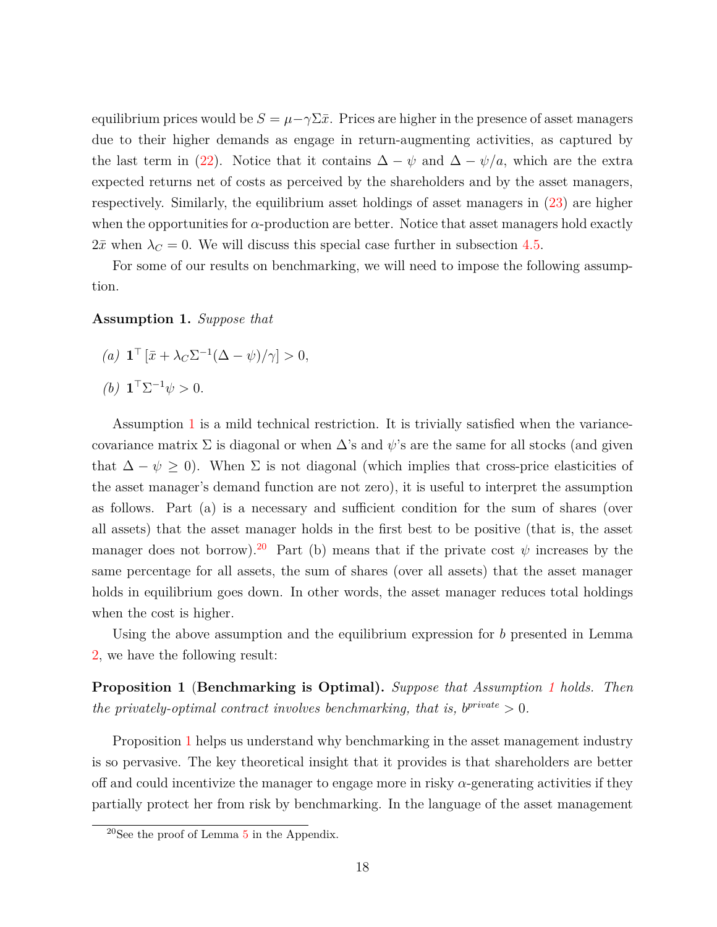equilibrium prices would be  $S = \mu - \gamma \Sigma \bar{x}$ . Prices are higher in the presence of asset managers due to their higher demands as engage in return-augmenting activities, as captured by the last term in [\(22\)](#page-17-3). Notice that it contains  $\Delta - \psi$  and  $\Delta - \psi/a$ , which are the extra expected returns net of costs as perceived by the shareholders and by the asset managers, respectively. Similarly, the equilibrium asset holdings of asset managers in [\(23\)](#page-17-4) are higher when the opportunities for  $\alpha$ -production are better. Notice that asset managers hold exactly  $2\bar{x}$  when  $\lambda_C = 0$ . We will discuss this special case further in subsection [4.5.](#page-19-0)

For some of our results on benchmarking, we will need to impose the following assumption.

#### <span id="page-18-0"></span>**Assumption 1.** *Suppose that*

- $(a)$  **1**<sup>T</sup>  $[\bar{x} + \lambda_C \Sigma^{-1}(\Delta \psi)/\gamma] > 0$ ,
- *(b)*  $\mathbf{1}^{\top} \Sigma^{-1} \psi > 0$ *.*

Assumption [1](#page-18-0) is a mild technical restriction. It is trivially satisfied when the variancecovariance matrix  $\Sigma$  is diagonal or when  $\Delta$ 's and  $\psi$ 's are the same for all stocks (and given that  $\Delta - \psi \geq 0$ ). When  $\Sigma$  is not diagonal (which implies that cross-price elasticities of the asset manager's demand function are not zero), it is useful to interpret the assumption as follows. Part (a) is a necessary and sufficient condition for the sum of shares (over all assets) that the asset manager holds in the first best to be positive (that is, the asset manager does not borrow).<sup>[20](#page-0-0)</sup> Part (b) means that if the private cost  $\psi$  increases by the same percentage for all assets, the sum of shares (over all assets) that the asset manager holds in equilibrium goes down. In other words, the asset manager reduces total holdings when the cost is higher.

Using the above assumption and the equilibrium expression for *b* presented in Lemma [2,](#page-17-5) we have the following result:

<span id="page-18-1"></span>**Proposition 1** (**Benchmarking is Optimal).** *Suppose that Assumption [1](#page-18-0) holds. Then the privately-optimal contract involves benchmarking, that is,*  $b^{private} > 0$ *.* 

Proposition [1](#page-18-1) helps us understand why benchmarking in the asset management industry is so pervasive. The key theoretical insight that it provides is that shareholders are better off and could incentivize the manager to engage more in risky  $\alpha$ -generating activities if they partially protect her from risk by benchmarking. In the language of the asset management

 $20$ See the proof of Lemma [5](#page-27-0) in the Appendix.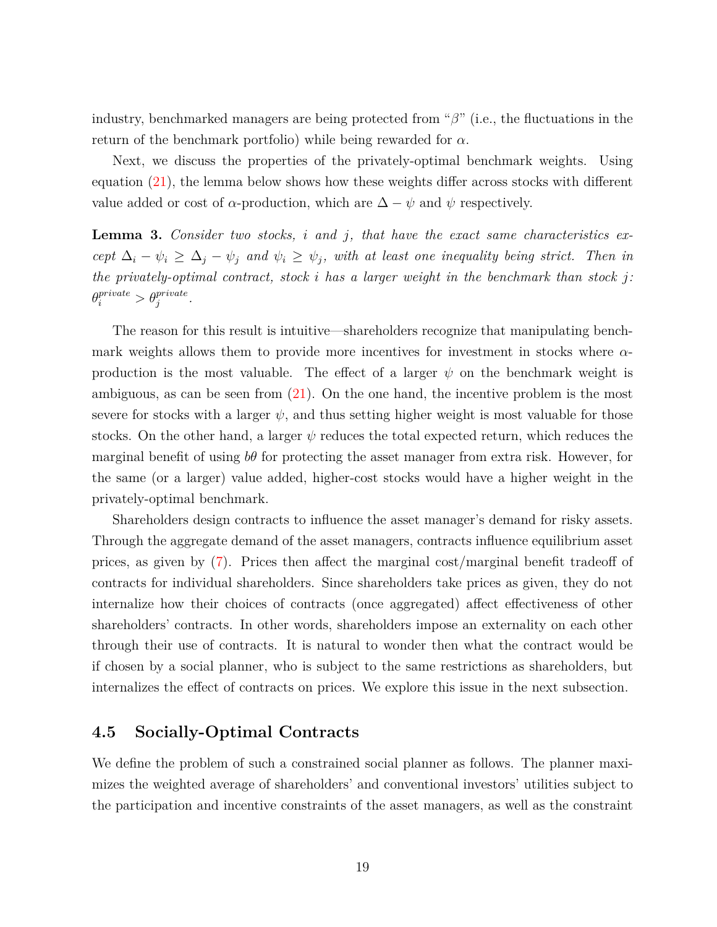industry, benchmarked managers are being protected from "*β*" (i.e., the fluctuations in the return of the benchmark portfolio) while being rewarded for *α.*

Next, we discuss the properties of the privately-optimal benchmark weights. Using equation [\(21\)](#page-17-2), the lemma below shows how these weights differ across stocks with different value added or cost of  $\alpha$ -production, which are  $\Delta - \psi$  and  $\psi$  respectively.

<span id="page-19-1"></span>**Lemma 3.** *Consider two stocks, i and j, that have the exact same characteristics except*  $\Delta_i - \psi_i \geq \Delta_j - \psi_j$  *and*  $\psi_i \geq \psi_j$ *, with at least one inequality being strict. Then in the privately-optimal contract, stock i has a larger weight in the benchmark than stock j:*  $\theta_i^{private} > \theta_j^{private}$ .

The reason for this result is intuitive—shareholders recognize that manipulating benchmark weights allows them to provide more incentives for investment in stocks where *α*production is the most valuable. The effect of a larger  $\psi$  on the benchmark weight is ambiguous, as can be seen from [\(21\)](#page-17-2). On the one hand, the incentive problem is the most severe for stocks with a larger  $\psi$ , and thus setting higher weight is most valuable for those stocks. On the other hand, a larger  $\psi$  reduces the total expected return, which reduces the marginal benefit of using *bθ* for protecting the asset manager from extra risk. However, for the same (or a larger) value added, higher-cost stocks would have a higher weight in the privately-optimal benchmark.

Shareholders design contracts to influence the asset manager's demand for risky assets. Through the aggregate demand of the asset managers, contracts influence equilibrium asset prices, as given by [\(7\)](#page-12-0). Prices then affect the marginal cost/marginal benefit tradeoff of contracts for individual shareholders. Since shareholders take prices as given, they do not internalize how their choices of contracts (once aggregated) affect effectiveness of other shareholders' contracts. In other words, shareholders impose an externality on each other through their use of contracts. It is natural to wonder then what the contract would be if chosen by a social planner, who is subject to the same restrictions as shareholders, but internalizes the effect of contracts on prices. We explore this issue in the next subsection.

## <span id="page-19-0"></span>**4.5 Socially-Optimal Contracts**

We define the problem of such a constrained social planner as follows. The planner maximizes the weighted average of shareholders' and conventional investors' utilities subject to the participation and incentive constraints of the asset managers, as well as the constraint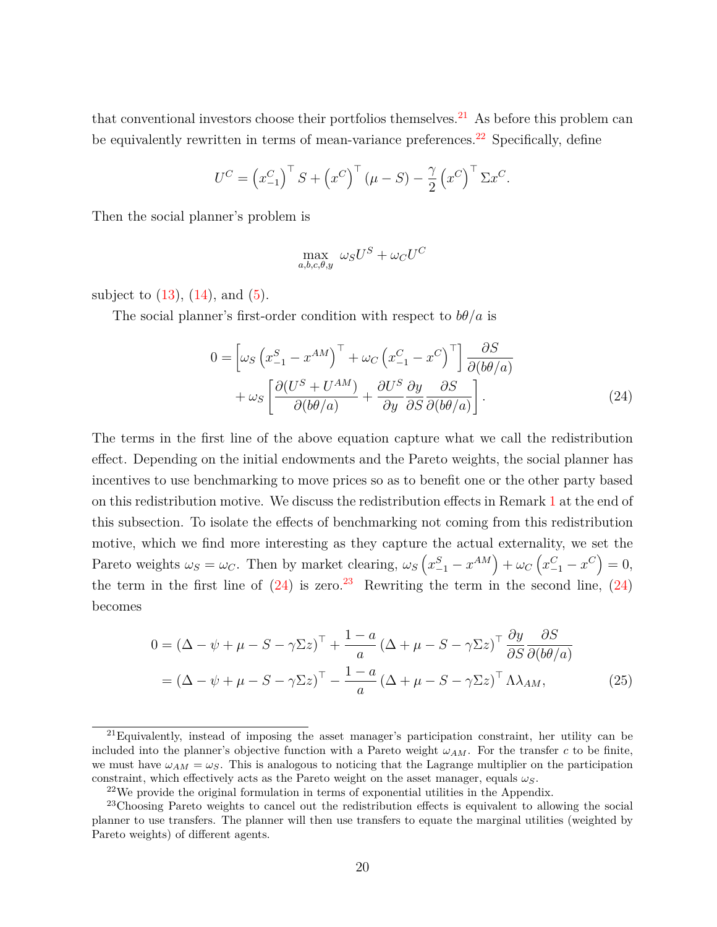that conventional investors choose their portfolios themselves.<sup>[21](#page-0-0)</sup> As before this problem can be equivalently rewritten in terms of mean-variance preferences.<sup>[22](#page-0-0)</sup> Specifically, define

$$
U^{C} = \left(x_{-1}^{C}\right)^{\top} S + \left(x^{C}\right)^{\top} \left(\mu - S\right) - \frac{\gamma}{2} \left(x^{C}\right)^{\top} \Sigma x^{C}.
$$

Then the social planner's problem is

<span id="page-20-0"></span>
$$
\max_{a,b,c,\theta,y} \; \omega_S U^S + \omega_C U^C
$$

subject to  $(13)$ ,  $(14)$ , and  $(5)$ .

The social planner's first-order condition with respect to  $b\theta/a$  is

$$
0 = \left[ \omega_S \left( x_{-1}^S - x^{AM} \right)^{\top} + \omega_C \left( x_{-1}^C - x^C \right)^{\top} \right] \frac{\partial S}{\partial (b\theta/a)}
$$

$$
+ \omega_S \left[ \frac{\partial (U^S + U^{AM})}{\partial (b\theta/a)} + \frac{\partial U^S}{\partial y} \frac{\partial y}{\partial S} \frac{\partial S}{\partial (b\theta/a)} \right]. \tag{24}
$$

The terms in the first line of the above equation capture what we call the redistribution effect. Depending on the initial endowments and the Pareto weights, the social planner has incentives to use benchmarking to move prices so as to benefit one or the other party based on this redistribution motive. We discuss the redistribution effects in Remark [1](#page-25-1) at the end of this subsection. To isolate the effects of benchmarking not coming from this redistribution motive, which we find more interesting as they capture the actual externality, we set the Pareto weights  $\omega_S = \omega_C$ . Then by market clearing,  $\omega_S \left( x_{-1}^S - x^{AM} \right) + \omega_C \left( x_{-1}^C - x^C \right) = 0$ , the term in the first line of  $(24)$  is zero.<sup>[23](#page-0-0)</sup> Rewriting the term in the second line,  $(24)$ becomes

<span id="page-20-1"></span>
$$
0 = (\Delta - \psi + \mu - S - \gamma \Sigma z)^{\top} + \frac{1 - a}{a} (\Delta + \mu - S - \gamma \Sigma z)^{\top} \frac{\partial y}{\partial S} \frac{\partial S}{\partial (b\theta/a)}
$$
  
=  $(\Delta - \psi + \mu - S - \gamma \Sigma z)^{\top} - \frac{1 - a}{a} (\Delta + \mu - S - \gamma \Sigma z)^{\top} \Lambda \lambda_{AM},$  (25)

 $21$ Equivalently, instead of imposing the asset manager's participation constraint, her utility can be included into the planner's objective function with a Pareto weight  $\omega_{AM}$ . For the transfer *c* to be finite, we must have  $\omega_{AM} = \omega_S$ . This is analogous to noticing that the Lagrange multiplier on the participation constraint, which effectively acts as the Pareto weight on the asset manager, equals *ωS*.

 $22$ We provide the original formulation in terms of exponential utilities in the Appendix.

<sup>&</sup>lt;sup>23</sup>Choosing Pareto weights to cancel out the redistribution effects is equivalent to allowing the social planner to use transfers. The planner will then use transfers to equate the marginal utilities (weighted by Pareto weights) of different agents.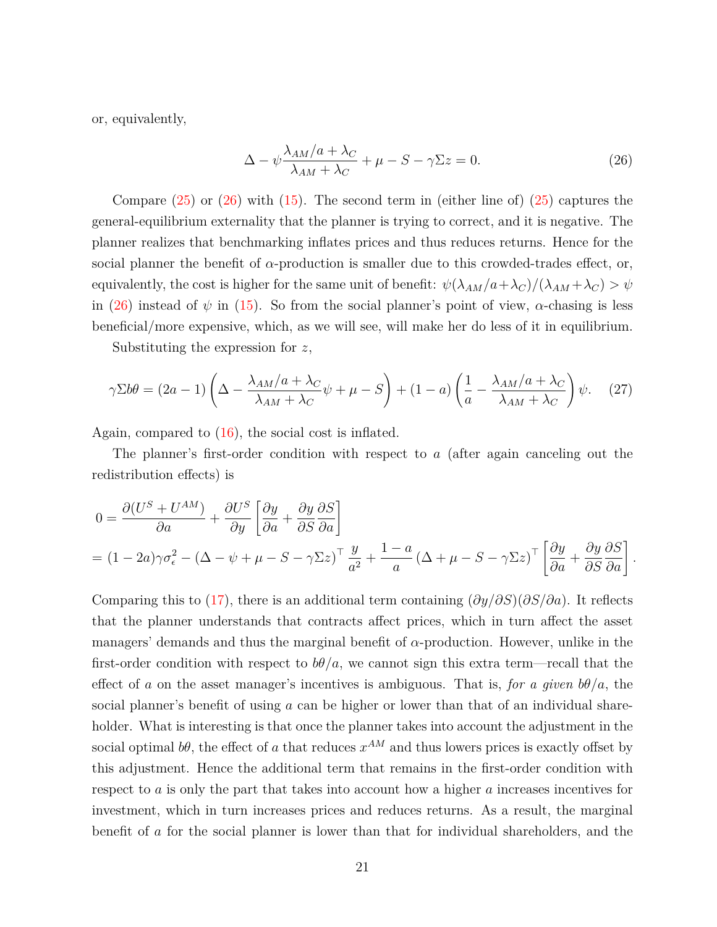or, equivalently,

<span id="page-21-1"></span><span id="page-21-0"></span>
$$
\Delta - \psi \frac{\lambda_{AM}/a + \lambda_C}{\lambda_{AM} + \lambda_C} + \mu - S - \gamma \Sigma z = 0.
$$
 (26)

Compare  $(25)$  or  $(26)$  with  $(15)$ . The second term in (either line of)  $(25)$  captures the general-equilibrium externality that the planner is trying to correct, and it is negative. The planner realizes that benchmarking inflates prices and thus reduces returns. Hence for the social planner the benefit of *α*-production is smaller due to this crowded-trades effect, or, equivalently, the cost is higher for the same unit of benefit:  $\psi(\lambda_{AM}/a+\lambda_C)/(\lambda_{AM}+\lambda_C) > \psi$ in [\(26\)](#page-21-0) instead of  $\psi$  in [\(15\)](#page-15-0). So from the social planner's point of view,  $\alpha$ -chasing is less beneficial/more expensive, which, as we will see, will make her do less of it in equilibrium.

Substituting the expression for *z*,

$$
\gamma \Sigma b \theta = (2a - 1) \left( \Delta - \frac{\lambda_{AM}/a + \lambda_C}{\lambda_{AM} + \lambda_C} \psi + \mu - S \right) + (1 - a) \left( \frac{1}{a} - \frac{\lambda_{AM}/a + \lambda_C}{\lambda_{AM} + \lambda_C} \right) \psi. \tag{27}
$$

Again, compared to [\(16\)](#page-16-0), the social cost is inflated.

The planner's first-order condition with respect to *a* (after again canceling out the redistribution effects) is

$$
0 = \frac{\partial (U^S + U^{AM})}{\partial a} + \frac{\partial U^S}{\partial y} \left[ \frac{\partial y}{\partial a} + \frac{\partial y}{\partial S} \frac{\partial S}{\partial a} \right]
$$
  
=  $(1 - 2a)\gamma \sigma_{\epsilon}^2 - (\Delta - \psi + \mu - S - \gamma \Sigma z)^{\top} \frac{y}{a^2} + \frac{1 - a}{a} (\Delta + \mu - S - \gamma \Sigma z)^{\top} \left[ \frac{\partial y}{\partial a} + \frac{\partial y}{\partial S} \frac{\partial S}{\partial a} \right].$ 

Comparing this to [\(17\)](#page-16-1), there is an additional term containing (*∂y/∂S*)(*∂S/∂a*). It reflects that the planner understands that contracts affect prices, which in turn affect the asset managers' demands and thus the marginal benefit of *α*-production. However, unlike in the first-order condition with respect to  $b\theta/a$ , we cannot sign this extra term—recall that the effect of *a* on the asset manager's incentives is ambiguous. That is, *for a given*  $b\theta/a$ , the social planner's benefit of using *a* can be higher or lower than that of an individual shareholder. What is interesting is that once the planner takes into account the adjustment in the social optimal  $b\theta$ , the effect of *a* that reduces  $x^{AM}$  and thus lowers prices is exactly offset by this adjustment. Hence the additional term that remains in the first-order condition with respect to *a* is only the part that takes into account how a higher *a* increases incentives for investment, which in turn increases prices and reduces returns. As a result, the marginal benefit of *a* for the social planner is lower than that for individual shareholders, and the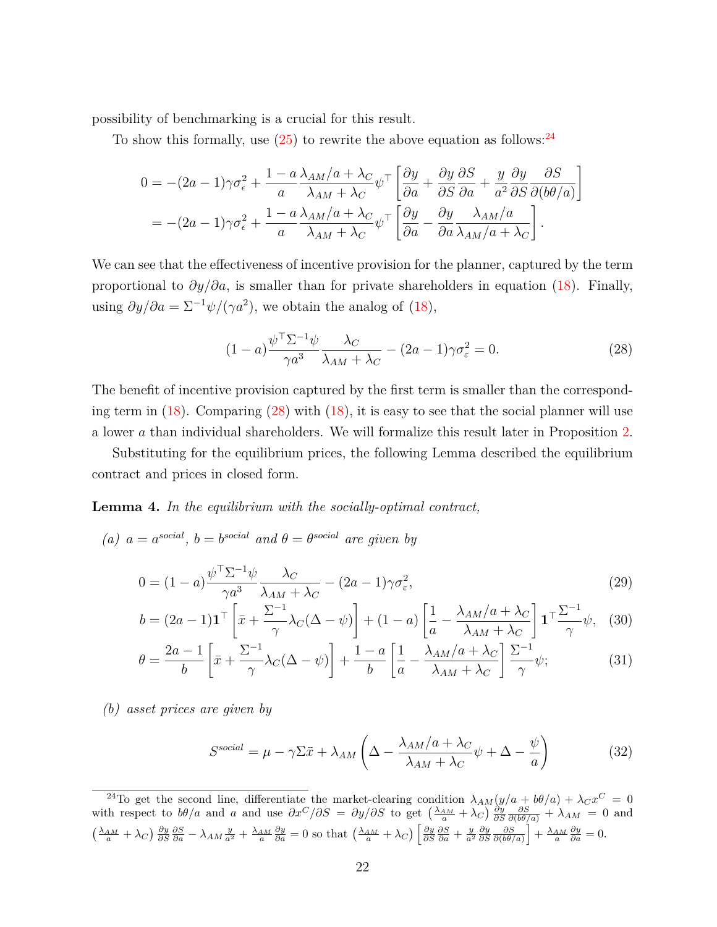possibility of benchmarking is a crucial for this result.

To show this formally, use  $(25)$  to rewrite the above equation as follows: <sup>[24](#page-0-0)</sup>

$$
0 = -(2a - 1)\gamma \sigma_{\epsilon}^{2} + \frac{1 - a}{a} \frac{\lambda_{AM}/a + \lambda_{C}}{\lambda_{AM} + \lambda_{C}} \psi^{\top} \left[ \frac{\partial y}{\partial a} + \frac{\partial y}{\partial S} \frac{\partial S}{\partial a} + \frac{y}{a^{2}} \frac{\partial y}{\partial S} \frac{\partial S}{\partial (b\theta/a)} \right]
$$
  
= -(2a - 1)\gamma \sigma\_{\epsilon}^{2} + \frac{1 - a}{a} \frac{\lambda\_{AM}/a + \lambda\_{C}}{\lambda\_{AM} + \lambda\_{C}} \psi^{\top} \left[ \frac{\partial y}{\partial a} - \frac{\partial y}{\partial a} \frac{\lambda\_{AM}/a}{\lambda\_{AM}/a + \lambda\_{C}} \right].

We can see that the effectiveness of incentive provision for the planner, captured by the term proportional to  $\partial y/\partial a$ , is smaller than for private shareholders in equation [\(18\)](#page-17-6). Finally, using  $\partial y/\partial a = \Sigma^{-1} \psi/(\gamma a^2)$ , we obtain the analog of [\(18\)](#page-17-6),

<span id="page-22-0"></span>
$$
(1-a)\frac{\psi^{\top} \Sigma^{-1} \psi}{\gamma a^3} \frac{\lambda_C}{\lambda_{AM} + \lambda_C} - (2a-1)\gamma \sigma_{\varepsilon}^2 = 0.
$$
 (28)

The benefit of incentive provision captured by the first term is smaller than the corresponding term in  $(18)$ . Comparing  $(28)$  with  $(18)$ , it is easy to see that the social planner will use a lower *a* than individual shareholders. We will formalize this result later in Proposition [2.](#page-0-0)

Substituting for the equilibrium prices, the following Lemma described the equilibrium contract and prices in closed form.

#### <span id="page-22-5"></span>**Lemma 4.** *In the equilibrium with the socially-optimal contract,*

*(a)*  $a = a^{social}$ ,  $b = b^{social}$  *and*  $\theta = \theta^{social}$  *are given by* 

$$
0 = (1 - a) \frac{\psi^{\top} \Sigma^{-1} \psi}{\gamma a^3} \frac{\lambda_C}{\lambda_{AM} + \lambda_C} - (2a - 1) \gamma \sigma_{\varepsilon}^2,
$$
\n
$$
(29)
$$

$$
b = (2a - 1)\mathbf{1}^\top \left[ \bar{x} + \frac{\Sigma^{-1}}{\gamma} \lambda_C (\Delta - \psi) \right] + (1 - a) \left[ \frac{1}{a} - \frac{\lambda_{AM}/a + \lambda_C}{\lambda_{AM} + \lambda_C} \right] \mathbf{1}^\top \frac{\Sigma^{-1}}{\gamma} \psi, \tag{30}
$$

$$
\theta = \frac{2a - 1}{b} \left[ \bar{x} + \frac{\Sigma^{-1}}{\gamma} \lambda_C (\Delta - \psi) \right] + \frac{1 - a}{b} \left[ \frac{1}{a} - \frac{\lambda_{AM}/a + \lambda_C}{\lambda_{AM} + \lambda_C} \right] \frac{\Sigma^{-1}}{\gamma} \psi; \tag{31}
$$

*(b) asset prices are given by*

<span id="page-22-4"></span><span id="page-22-3"></span><span id="page-22-2"></span><span id="page-22-1"></span>
$$
S^{social} = \mu - \gamma \Sigma \bar{x} + \lambda_{AM} \left( \Delta - \frac{\lambda_{AM}/a + \lambda_C}{\lambda_{AM} + \lambda_C} \psi + \Delta - \frac{\psi}{a} \right)
$$
(32)

<sup>24</sup>To get the second line, differentiate the market-clearing condition  $\lambda_{AM}(y/a + b\theta/a) + \lambda_C x^C = 0$ with respect to  $b\theta/a$  and a and use  $\partial x^C/\partial S = \partial y/\partial S$  to get  $\left(\frac{\lambda_{AM}}{a} + \lambda_C\right)\frac{\partial y}{\partial S}\frac{\partial S}{\partial (b\theta/a)} + \lambda_{AM} = 0$  and  $\left(\frac{\lambda_{AM}}{a}+\lambda_C\right)\frac{\partial y}{\partial S}\frac{\partial S}{\partial a}-\lambda_{AM}\frac{y}{a^2}+\frac{\lambda_{AM}}{a}\frac{\partial y}{\partial a}=0$  so that  $\left(\frac{\lambda_{AM}}{a}+\lambda_C\right)\left[\frac{\partial y}{\partial S}\frac{\partial S}{\partial a}+\frac{y}{a^2}\frac{\partial y}{\partial S}\frac{\partial S}{\partial (b\theta/a)}\right]+\frac{\lambda_{AM}}{a}\frac{\partial y}{\partial a}=0.$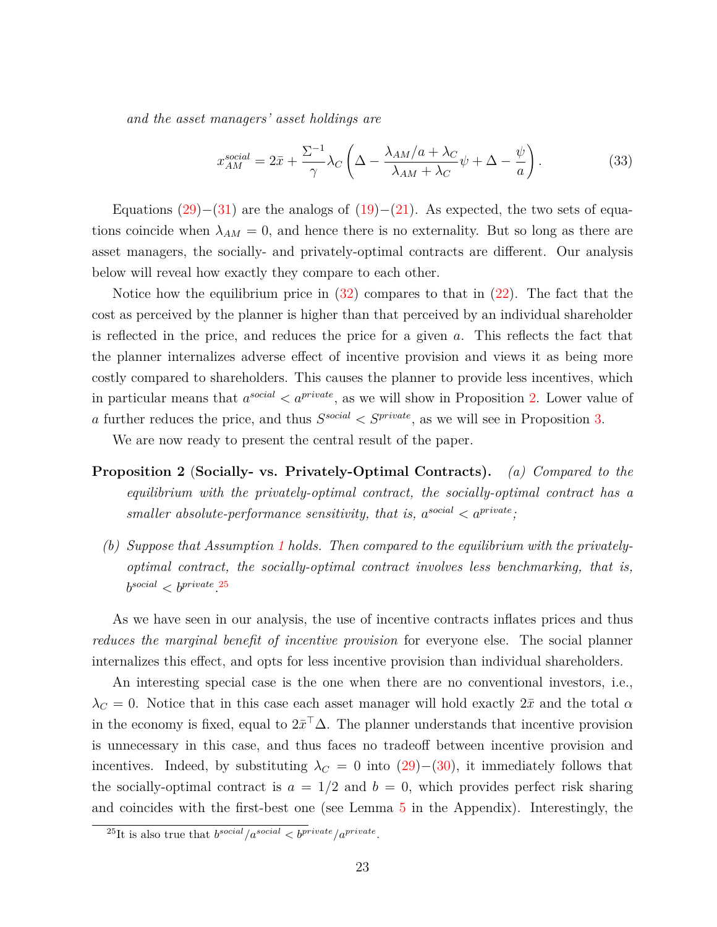*and the asset managers' asset holdings are*

<span id="page-23-0"></span>
$$
x_{AM}^{social} = 2\bar{x} + \frac{\Sigma^{-1}}{\gamma} \lambda_C \left( \Delta - \frac{\lambda_{AM}/a + \lambda_C}{\lambda_{AM} + \lambda_C} \psi + \Delta - \frac{\psi}{a} \right). \tag{33}
$$

Equations  $(29)–(31)$  $(29)–(31)$  $(29)–(31)$  are the analogs of  $(19)–(21)$  $(19)–(21)$  $(19)–(21)$ . As expected, the two sets of equations coincide when  $\lambda_{AM} = 0$ , and hence there is no externality. But so long as there are asset managers, the socially- and privately-optimal contracts are different. Our analysis below will reveal how exactly they compare to each other.

Notice how the equilibrium price in  $(32)$  compares to that in  $(22)$ . The fact that the cost as perceived by the planner is higher than that perceived by an individual shareholder is reflected in the price, and reduces the price for a given *a*. This reflects the fact that the planner internalizes adverse effect of incentive provision and views it as being more costly compared to shareholders. This causes the planner to provide less incentives, which in particular means that  $a^{social} < a^{private}$ , as we will show in Proposition [2.](#page-0-0) Lower value of *a* further reduces the price, and thus  $S^{social} < S^{private}$ , as we will see in Proposition [3.](#page-24-0)

We are now ready to present the central result of the paper.

- **Proposition 2** (**Socially- vs. Privately-Optimal Contracts).** *(a) Compared to the equilibrium with the privately-optimal contract, the socially-optimal contract has a smaller absolute-performance sensitivity, that is,*  $a^{social} < a^{private}$ ;
	- *(b) Suppose that Assumption [1](#page-18-0) holds. Then compared to the equilibrium with the privatelyoptimal contract, the socially-optimal contract involves less benchmarking, that is,*  $b^{social} < b^{private}$   $25$

As we have seen in our analysis, the use of incentive contracts inflates prices and thus *reduces the marginal benefit of incentive provision* for everyone else. The social planner internalizes this effect, and opts for less incentive provision than individual shareholders.

An interesting special case is the one when there are no conventional investors, i.e.,  $\lambda_C = 0$ . Notice that in this case each asset manager will hold exactly  $2\bar{x}$  and the total  $\alpha$ in the economy is fixed, equal to  $2\bar{x}^\top \Delta$ . The planner understands that incentive provision is unnecessary in this case, and thus faces no tradeoff between incentive provision and incentives. Indeed, by substituting  $\lambda_C = 0$  into [\(29\)](#page-22-1)–[\(30\)](#page-22-4), it immediately follows that the socially-optimal contract is  $a = 1/2$  and  $b = 0$ , which provides perfect risk sharing and coincides with the first-best one (see Lemma [5](#page-27-0) in the Appendix). Interestingly, the

<sup>&</sup>lt;sup>25</sup>It is also true that  $b^{social}/a^{social} < b^{private}/a^{private}$ .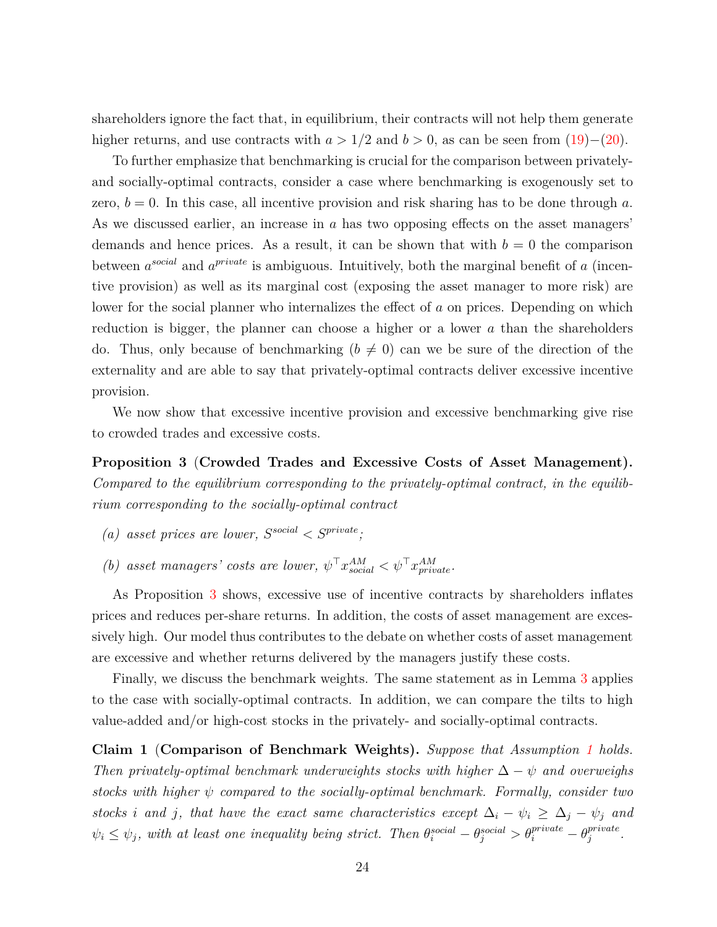shareholders ignore the fact that, in equilibrium, their contracts will not help them generate higher returns, and use contracts with  $a > 1/2$  and  $b > 0$ , as can be seen from  $(19)–(20)$  $(19)–(20)$  $(19)–(20)$ .

To further emphasize that benchmarking is crucial for the comparison between privatelyand socially-optimal contracts, consider a case where benchmarking is exogenously set to zero,  $b = 0$ . In this case, all incentive provision and risk sharing has to be done through a. As we discussed earlier, an increase in *a* has two opposing effects on the asset managers' demands and hence prices. As a result, it can be shown that with  $b = 0$  the comparison between  $a^{social}$  and  $a^{private}$  is ambiguous. Intuitively, both the marginal benefit of  $a$  (incentive provision) as well as its marginal cost (exposing the asset manager to more risk) are lower for the social planner who internalizes the effect of *a* on prices. Depending on which reduction is bigger, the planner can choose a higher or a lower *a* than the shareholders do. Thus, only because of benchmarking  $(b \neq 0)$  can we be sure of the direction of the externality and are able to say that privately-optimal contracts deliver excessive incentive provision.

We now show that excessive incentive provision and excessive benchmarking give rise to crowded trades and excessive costs.

<span id="page-24-0"></span>**Proposition 3** (**Crowded Trades and Excessive Costs of Asset Management).** *Compared to the equilibrium corresponding to the privately-optimal contract, in the equilibrium corresponding to the socially-optimal contract*

- *(a) asset prices are lower,*  $S^{social} < S^{private}$ *;*
- *(b) asset managers' costs are lower,*  $\psi^{\top} x_{social}^{AM} < \psi^{\top} x_{private}^{AM}$ .

As Proposition [3](#page-24-0) shows, excessive use of incentive contracts by shareholders inflates prices and reduces per-share returns. In addition, the costs of asset management are excessively high. Our model thus contributes to the debate on whether costs of asset management are excessive and whether returns delivered by the managers justify these costs.

Finally, we discuss the benchmark weights. The same statement as in Lemma [3](#page-19-1) applies to the case with socially-optimal contracts. In addition, we can compare the tilts to high value-added and/or high-cost stocks in the privately- and socially-optimal contracts.

<span id="page-24-1"></span>**Claim 1** (**Comparison of Benchmark Weights).** *Suppose that Assumption [1](#page-18-0) holds. Then privately-optimal benchmark underweights stocks with higher*  $\Delta - \psi$  *and overweighs stocks with higher ψ compared to the socially-optimal benchmark. Formally, consider two stocks i* and *j*, that have the exact same characteristics except  $\Delta_i - \psi_i \geq \Delta_j - \psi_j$  and  $\psi_i \leq \psi_j$ , with at least one inequality being strict. Then  $\theta_i^{social} - \theta_j^{social} > \theta_i^{private} - \theta_j^{private}$ *j .*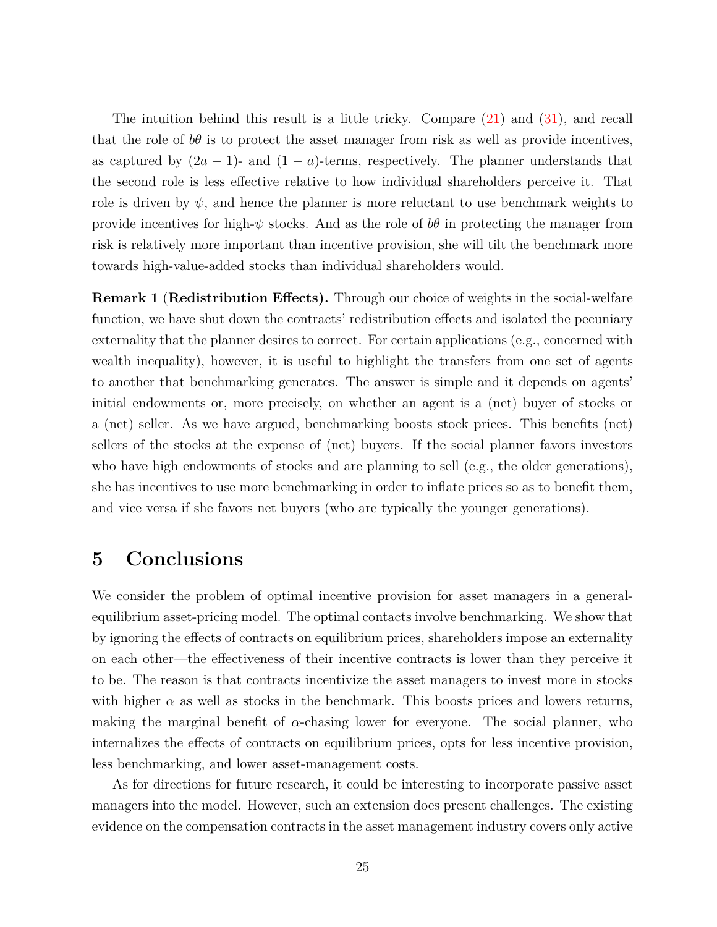The intuition behind this result is a little tricky. Compare [\(21\)](#page-17-2) and [\(31\)](#page-22-2), and recall that the role of  $b\theta$  is to protect the asset manager from risk as well as provide incentives, as captured by  $(2a - 1)$ - and  $(1 - a)$ -terms, respectively. The planner understands that the second role is less effective relative to how individual shareholders perceive it. That role is driven by  $\psi$ , and hence the planner is more reluctant to use benchmark weights to provide incentives for high- $\psi$  stocks. And as the role of  $b\theta$  in protecting the manager from risk is relatively more important than incentive provision, she will tilt the benchmark more towards high-value-added stocks than individual shareholders would.

<span id="page-25-1"></span>**Remark 1** (**Redistribution Effects).** Through our choice of weights in the social-welfare function, we have shut down the contracts' redistribution effects and isolated the pecuniary externality that the planner desires to correct. For certain applications (e.g., concerned with wealth inequality), however, it is useful to highlight the transfers from one set of agents to another that benchmarking generates. The answer is simple and it depends on agents' initial endowments or, more precisely, on whether an agent is a (net) buyer of stocks or a (net) seller. As we have argued, benchmarking boosts stock prices. This benefits (net) sellers of the stocks at the expense of (net) buyers. If the social planner favors investors who have high endowments of stocks and are planning to sell (e.g., the older generations), she has incentives to use more benchmarking in order to inflate prices so as to benefit them, and vice versa if she favors net buyers (who are typically the younger generations).

# <span id="page-25-0"></span>**5 Conclusions**

We consider the problem of optimal incentive provision for asset managers in a generalequilibrium asset-pricing model. The optimal contacts involve benchmarking. We show that by ignoring the effects of contracts on equilibrium prices, shareholders impose an externality on each other—the effectiveness of their incentive contracts is lower than they perceive it to be. The reason is that contracts incentivize the asset managers to invest more in stocks with higher  $\alpha$  as well as stocks in the benchmark. This boosts prices and lowers returns, making the marginal benefit of  $\alpha$ -chasing lower for everyone. The social planner, who internalizes the effects of contracts on equilibrium prices, opts for less incentive provision, less benchmarking, and lower asset-management costs.

As for directions for future research, it could be interesting to incorporate passive asset managers into the model. However, such an extension does present challenges. The existing evidence on the compensation contracts in the asset management industry covers only active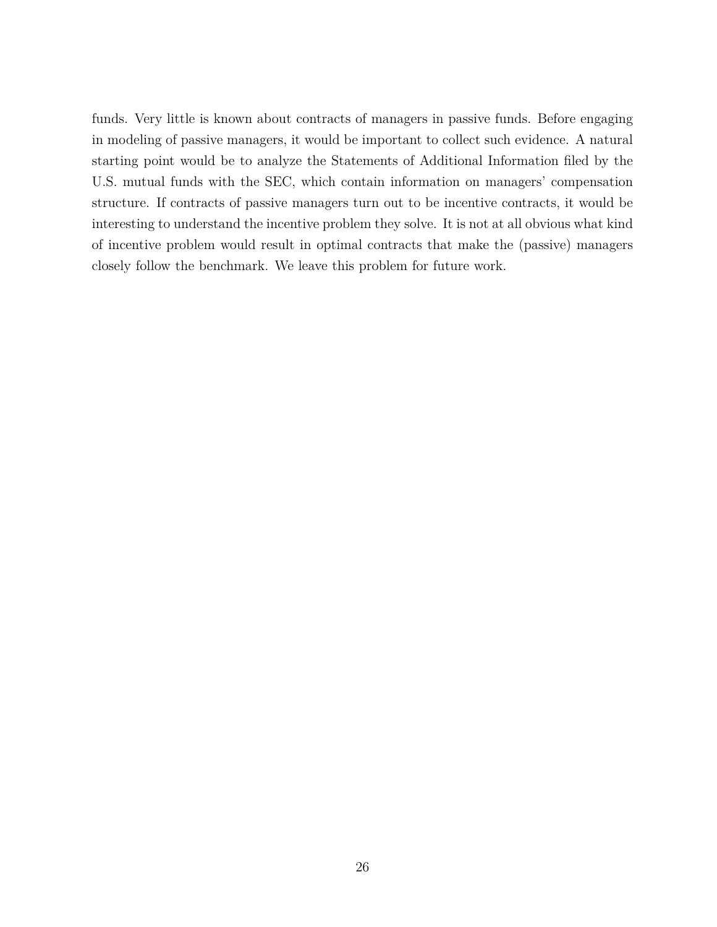funds. Very little is known about contracts of managers in passive funds. Before engaging in modeling of passive managers, it would be important to collect such evidence. A natural starting point would be to analyze the Statements of Additional Information filed by the U.S. mutual funds with the SEC, which contain information on managers' compensation structure. If contracts of passive managers turn out to be incentive contracts, it would be interesting to understand the incentive problem they solve. It is not at all obvious what kind of incentive problem would result in optimal contracts that make the (passive) managers closely follow the benchmark. We leave this problem for future work.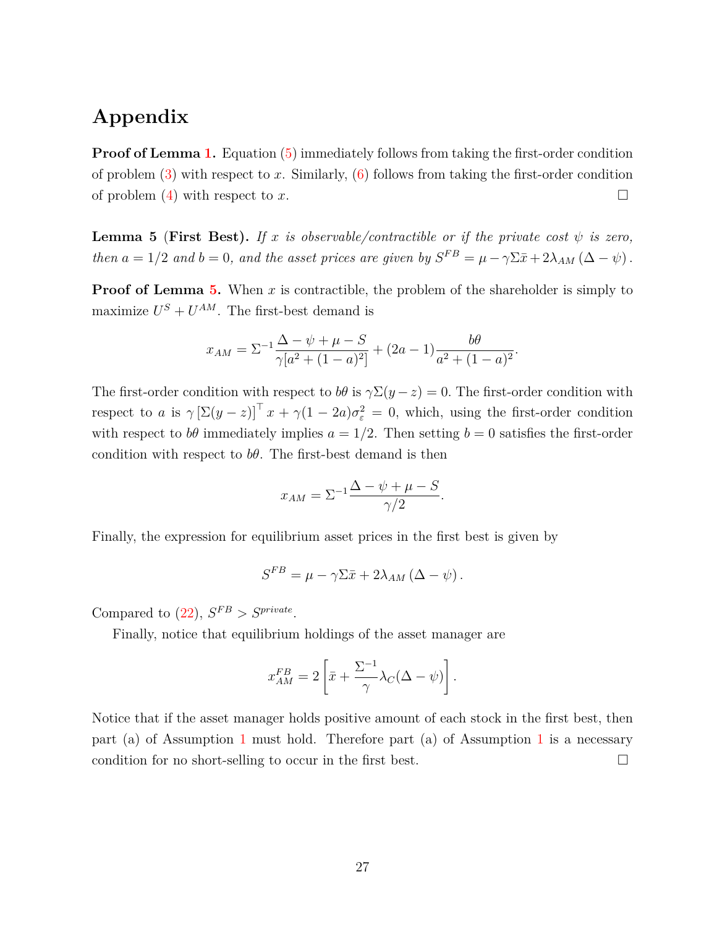# **Appendix**

**Proof of Lemma [1.](#page-11-1)** Equation [\(5\)](#page-11-3) immediately follows from taking the first-order condition of problem  $(3)$  with respect to x. Similarly,  $(6)$  follows from taking the first-order condition of problem  $(4)$  with respect to *x*.

<span id="page-27-0"></span>**Lemma 5** (**First Best**). If *x* is observable/contractible or if the private cost  $\psi$  is zero, *then*  $a = 1/2$  *and*  $b = 0$ *, and the asset prices are given by*  $S^{FB} = \mu - \gamma \Sigma \bar{x} + 2\lambda_{AM} (\Delta - \psi)$ .

**Proof of Lemma [5.](#page-27-0)** When *x* is contractible, the problem of the shareholder is simply to maximize  $U^S + U^{AM}$ . The first-best demand is

$$
x_{AM} = \Sigma^{-1} \frac{\Delta - \psi + \mu - S}{\gamma [a^2 + (1 - a)^2]} + (2a - 1) \frac{b\theta}{a^2 + (1 - a)^2}.
$$

The first-order condition with respect to *bθ* is  $\gamma \Sigma(y-z) = 0$ . The first-order condition with respect to *a* is  $\gamma \left[\Sigma(y-z)\right]^{\top} x + \gamma(1-2a)\sigma_{\varepsilon}^2 = 0$ , which, using the first-order condition with respect to  $b\theta$  immediately implies  $a = 1/2$ . Then setting  $b = 0$  satisfies the first-order condition with respect to  $b\theta$ . The first-best demand is then

$$
x_{AM} = \Sigma^{-1} \frac{\Delta - \psi + \mu - S}{\gamma/2}.
$$

Finally, the expression for equilibrium asset prices in the first best is given by

$$
S^{FB} = \mu - \gamma \Sigma \bar{x} + 2\lambda_{AM} (\Delta - \psi).
$$

Compared to  $(22)$ ,  $S^{FB} > S^{private}$ .

Finally, notice that equilibrium holdings of the asset manager are

$$
x_{AM}^{FB} = 2\left[\bar{x} + \frac{\Sigma^{-1}}{\gamma} \lambda_C(\Delta - \psi)\right].
$$

Notice that if the asset manager holds positive amount of each stock in the first best, then part (a) of Assumption [1](#page-18-0) must hold. Therefore part (a) of Assumption [1](#page-18-0) is a necessary condition for no short-selling to occur in the first best.  $\square$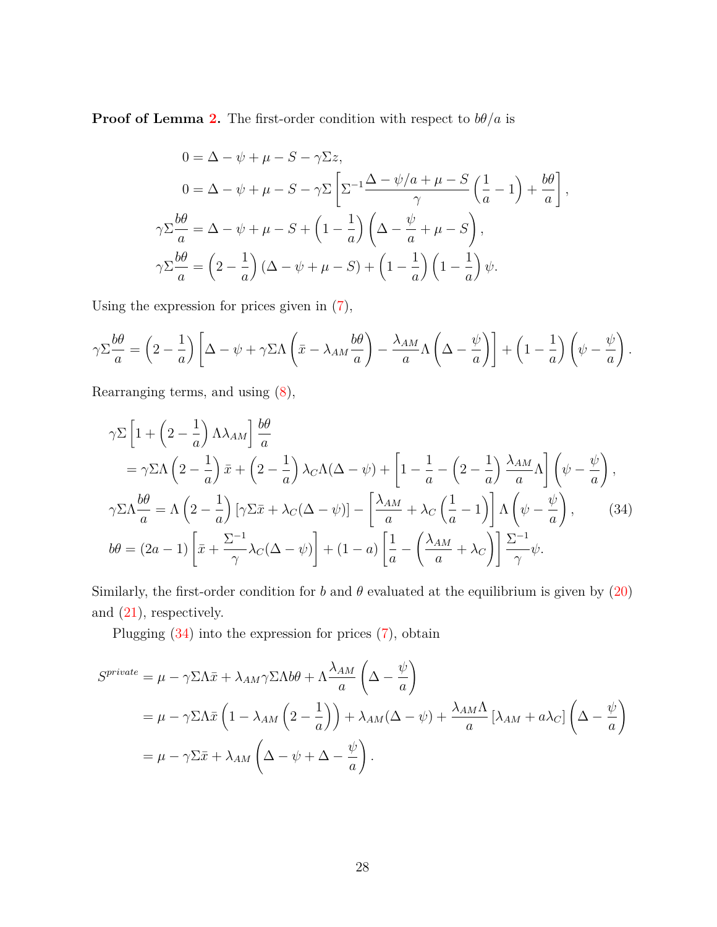**Proof of Lemma [2.](#page-17-5)** The first-order condition with respect to  $b\theta/a$  is

$$
0 = \Delta - \psi + \mu - S - \gamma \Sigma z,
$$
  
\n
$$
0 = \Delta - \psi + \mu - S - \gamma \Sigma \left[ \Sigma^{-1} \frac{\Delta - \psi/a + \mu - S}{\gamma} \left( \frac{1}{a} - 1 \right) + \frac{b\theta}{a} \right],
$$
  
\n
$$
\gamma \Sigma \frac{b\theta}{a} = \Delta - \psi + \mu - S + \left( 1 - \frac{1}{a} \right) \left( \Delta - \frac{\psi}{a} + \mu - S \right),
$$
  
\n
$$
\gamma \Sigma \frac{b\theta}{a} = \left( 2 - \frac{1}{a} \right) (\Delta - \psi + \mu - S) + \left( 1 - \frac{1}{a} \right) \left( 1 - \frac{1}{a} \right) \psi.
$$

Using the expression for prices given in [\(7\)](#page-12-0),

$$
\gamma \Sigma \frac{b\theta}{a} = \left(2 - \frac{1}{a}\right) \left[\Delta - \psi + \gamma \Sigma \Lambda \left(\bar{x} - \lambda_{AM} \frac{b\theta}{a}\right) - \frac{\lambda_{AM}}{a} \Lambda \left(\Delta - \frac{\psi}{a}\right)\right] + \left(1 - \frac{1}{a}\right) \left(\psi - \frac{\psi}{a}\right).
$$

Rearranging terms, and using [\(8\)](#page-12-1),

<span id="page-28-0"></span>
$$
\gamma \Sigma \left[ 1 + \left( 2 - \frac{1}{a} \right) \Lambda \lambda_{AM} \right] \frac{b\theta}{a}
$$
  
=  $\gamma \Sigma \Lambda \left( 2 - \frac{1}{a} \right) \bar{x} + \left( 2 - \frac{1}{a} \right) \lambda_C \Lambda (\Delta - \psi) + \left[ 1 - \frac{1}{a} - \left( 2 - \frac{1}{a} \right) \frac{\lambda_{AM}}{a} \Lambda \right] \left( \psi - \frac{\psi}{a} \right),$   
 $\gamma \Sigma \Lambda \frac{b\theta}{a} = \Lambda \left( 2 - \frac{1}{a} \right) \left[ \gamma \Sigma \bar{x} + \lambda_C (\Delta - \psi) \right] - \left[ \frac{\lambda_{AM}}{a} + \lambda_C \left( \frac{1}{a} - 1 \right) \right] \Lambda \left( \psi - \frac{\psi}{a} \right),$  (34)  
 $b\theta = (2a - 1) \left[ \bar{x} + \frac{\Sigma^{-1}}{\gamma} \lambda_C (\Delta - \psi) \right] + (1 - a) \left[ \frac{1}{a} - \left( \frac{\lambda_{AM}}{a} + \lambda_C \right) \right] \frac{\Sigma^{-1}}{\gamma} \psi.$ 

Similarly, the first-order condition for *b* and  $\theta$  evaluated at the equilibrium is given by [\(20\)](#page-17-1) and [\(21\)](#page-17-2), respectively.

Plugging [\(34\)](#page-28-0) into the expression for prices [\(7\)](#page-12-0), obtain

$$
S^{private} = \mu - \gamma \Sigma \Lambda \bar{x} + \lambda_{AM} \gamma \Sigma \Lambda b \theta + \Lambda \frac{\lambda_{AM}}{a} \left( \Delta - \frac{\psi}{a} \right)
$$
  
=  $\mu - \gamma \Sigma \Lambda \bar{x} \left( 1 - \lambda_{AM} \left( 2 - \frac{1}{a} \right) \right) + \lambda_{AM} (\Delta - \psi) + \frac{\lambda_{AM} \Lambda}{a} \left[ \lambda_{AM} + a \lambda_C \right] \left( \Delta - \frac{\psi}{a} \right)$   
=  $\mu - \gamma \Sigma \bar{x} + \lambda_{AM} \left( \Delta - \psi + \Delta - \frac{\psi}{a} \right).$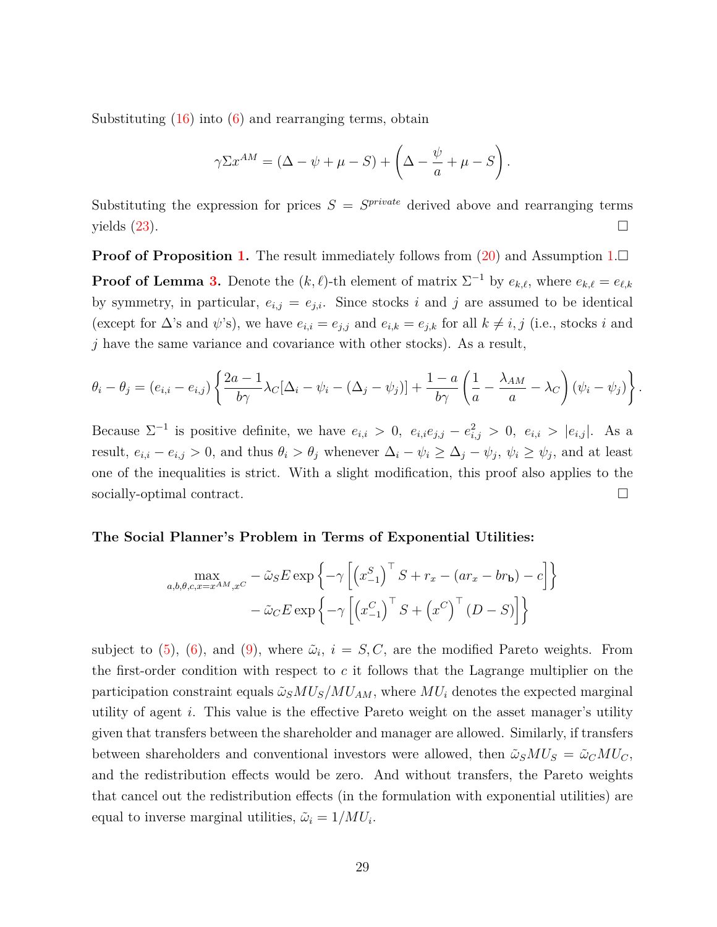Substituting  $(16)$  into  $(6)$  and rearranging terms, obtain

$$
\gamma \Sigma x^{AM} = (\Delta - \psi + \mu - S) + \left(\Delta - \frac{\psi}{a} + \mu - S\right).
$$

Substituting the expression for prices  $S = S^{private}$  derived above and rearranging terms yields  $(23)$ .

**Proof of Proposition [1.](#page-18-0)** The result immediately follows from  $(20)$  and Assumption 1. **Proof of Lemma [3.](#page-19-1)** Denote the  $(k, \ell)$ -th element of matrix  $\Sigma^{-1}$  by  $e_{k,\ell}$ , where  $e_{k,\ell} = e_{\ell,k}$ by symmetry, in particular,  $e_{i,j} = e_{j,i}$ . Since stocks *i* and *j* are assumed to be identical (except for  $\Delta$ 's and  $\psi$ 's), we have  $e_{i,i} = e_{j,j}$  and  $e_{i,k} = e_{j,k}$  for all  $k \neq i, j$  (i.e., stocks *i* and *j* have the same variance and covariance with other stocks). As a result,

$$
\theta_i - \theta_j = (e_{i,i} - e_{i,j}) \left\{ \frac{2a - 1}{b\gamma} \lambda_C [\Delta_i - \psi_i - (\Delta_j - \psi_j)] + \frac{1 - a}{b\gamma} \left( \frac{1}{a} - \frac{\lambda_{AM}}{a} - \lambda_C \right) (\psi_i - \psi_j) \right\}
$$

*.*

Because  $\Sigma^{-1}$  is positive definite, we have  $e_{i,i} > 0$ ,  $e_{i,i}e_{j,j} - e_{i,j}^2 > 0$ ,  $e_{i,i} > |e_{i,j}|$ . As a result,  $e_{i,i} - e_{i,j} > 0$ , and thus  $\theta_i > \theta_j$  whenever  $\Delta_i - \psi_i \ge \Delta_j - \psi_j$ ,  $\psi_i \ge \psi_j$ , and at least one of the inequalities is strict. With a slight modification, this proof also applies to the socially-optimal contract.

#### **The Social Planner's Problem in Terms of Exponential Utilities:**

$$
\max_{a,b,\theta,c,x=x^{AM},x^{C}} - \tilde{\omega}_{S} E \exp\left\{-\gamma \left[\left(x_{-1}^{S}\right)^{\top} S + r_{x} - (ar_{x} - br_{b}) - c\right]\right\}
$$

$$
-\tilde{\omega}_{C} E \exp\left\{-\gamma \left[\left(x_{-1}^{C}\right)^{\top} S + \left(x^{C}\right)^{\top} (D - S)\right]\right\}
$$

subject to [\(5\)](#page-11-3), [\(6\)](#page-11-2), and [\(9\)](#page-13-0), where  $\tilde{\omega}_i$ ,  $i = S, C$ , are the modified Pareto weights. From the first-order condition with respect to *c* it follows that the Lagrange multiplier on the participation constraint equals  $\tilde{\omega}_s MU_s/MU_{AM}$ , where  $MU_i$  denotes the expected marginal utility of agent *i*. This value is the effective Pareto weight on the asset manager's utility given that transfers between the shareholder and manager are allowed. Similarly, if transfers between shareholders and conventional investors were allowed, then  $\tilde{\omega}_S M U_S = \tilde{\omega}_C M U_C$ , and the redistribution effects would be zero. And without transfers, the Pareto weights that cancel out the redistribution effects (in the formulation with exponential utilities) are equal to inverse marginal utilities,  $\tilde{\omega}_i = 1/MU_i$ .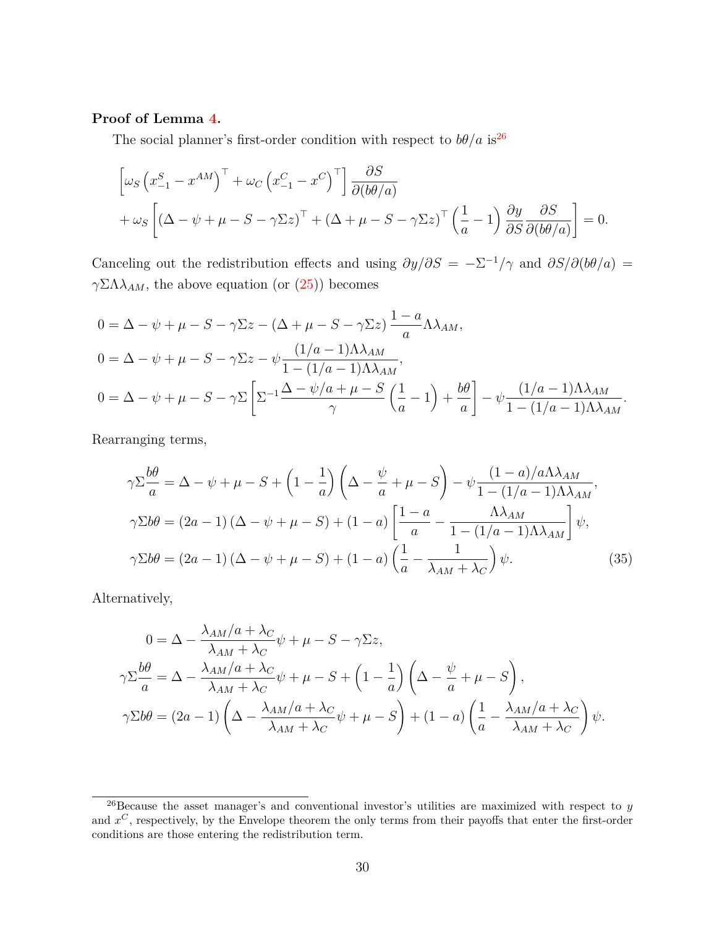### **Proof of Lemma [4.](#page-22-5)**

The social planner's first-order condition with respect to  $b\theta/a$  is<sup>[26](#page-0-0)</sup>

$$
\begin{aligned}\n&\left[\omega_S \left(x_{-1}^S - x^{AM}\right)^\top + \omega_C \left(x_{-1}^C - x^C\right)^\top\right] \frac{\partial S}{\partial (b\theta/a)} \\
&+ \omega_S \left[\left(\Delta - \psi + \mu - S - \gamma \Sigma z\right)^\top + \left(\Delta + \mu - S - \gamma \Sigma z\right)^\top \left(\frac{1}{a} - 1\right) \frac{\partial y}{\partial S} \frac{\partial S}{\partial (b\theta/a)}\right] = 0.\n\end{aligned}
$$

Canceling out the redistribution effects and using  $\partial y/\partial S = -\Sigma^{-1}/\gamma$  and  $\partial S/\partial (b\theta/a) =$ *γ*ΣΛ*λ*<sub>*AM*</sub>, the above equation (or [\(25\)](#page-20-1)) becomes

$$
0 = \Delta - \psi + \mu - S - \gamma \Sigma z - (\Delta + \mu - S - \gamma \Sigma z) \frac{1 - a}{a} \Lambda \lambda_{AM},
$$
  
\n
$$
0 = \Delta - \psi + \mu - S - \gamma \Sigma z - \psi \frac{(1/a - 1)\Lambda \lambda_{AM}}{1 - (1/a - 1)\Lambda \lambda_{AM}},
$$
  
\n
$$
0 = \Delta - \psi + \mu - S - \gamma \Sigma \left[ \Sigma^{-1} \frac{\Delta - \psi/a + \mu - S}{\gamma} \left( \frac{1}{a} - 1 \right) + \frac{b\theta}{a} \right] - \psi \frac{(1/a - 1)\Lambda \lambda_{AM}}{1 - (1/a - 1)\Lambda \lambda_{AM}}.
$$

Rearranging terms,

<span id="page-30-0"></span>
$$
\gamma \Sigma \frac{b\theta}{a} = \Delta - \psi + \mu - S + \left(1 - \frac{1}{a}\right) \left(\Delta - \frac{\psi}{a} + \mu - S\right) - \psi \frac{(1 - a)/a\Lambda \lambda_{AM}}{1 - (1/a - 1)\Lambda \lambda_{AM}},
$$
  
\n
$$
\gamma \Sigma b\theta = (2a - 1)\left(\Delta - \psi + \mu - S\right) + (1 - a) \left[\frac{1 - a}{a} - \frac{\Lambda \lambda_{AM}}{1 - (1/a - 1)\Lambda \lambda_{AM}}\right] \psi,
$$
  
\n
$$
\gamma \Sigma b\theta = (2a - 1)\left(\Delta - \psi + \mu - S\right) + (1 - a) \left(\frac{1}{a} - \frac{1}{\lambda_{AM} + \lambda_C}\right) \psi.
$$
\n(35)

Alternatively,

$$
0 = \Delta - \frac{\lambda_{AM}/a + \lambda_C}{\lambda_{AM} + \lambda_C} \psi + \mu - S - \gamma \Sigma z,
$$
  

$$
\gamma \Sigma \frac{b\theta}{a} = \Delta - \frac{\lambda_{AM}/a + \lambda_C}{\lambda_{AM} + \lambda_C} \psi + \mu - S + \left(1 - \frac{1}{a}\right) \left(\Delta - \frac{\psi}{a} + \mu - S\right),
$$
  

$$
\gamma \Sigma b\theta = (2a - 1) \left(\Delta - \frac{\lambda_{AM}/a + \lambda_C}{\lambda_{AM} + \lambda_C} \psi + \mu - S\right) + (1 - a) \left(\frac{1}{a} - \frac{\lambda_{AM}/a + \lambda_C}{\lambda_{AM} + \lambda_C}\right) \psi.
$$

 $\frac{26}{26}$ Because the asset manager's and conventional investor's utilities are maximized with respect to *y* and *x <sup>C</sup>* , respectively, by the Envelope theorem the only terms from their payoffs that enter the first-order conditions are those entering the redistribution term.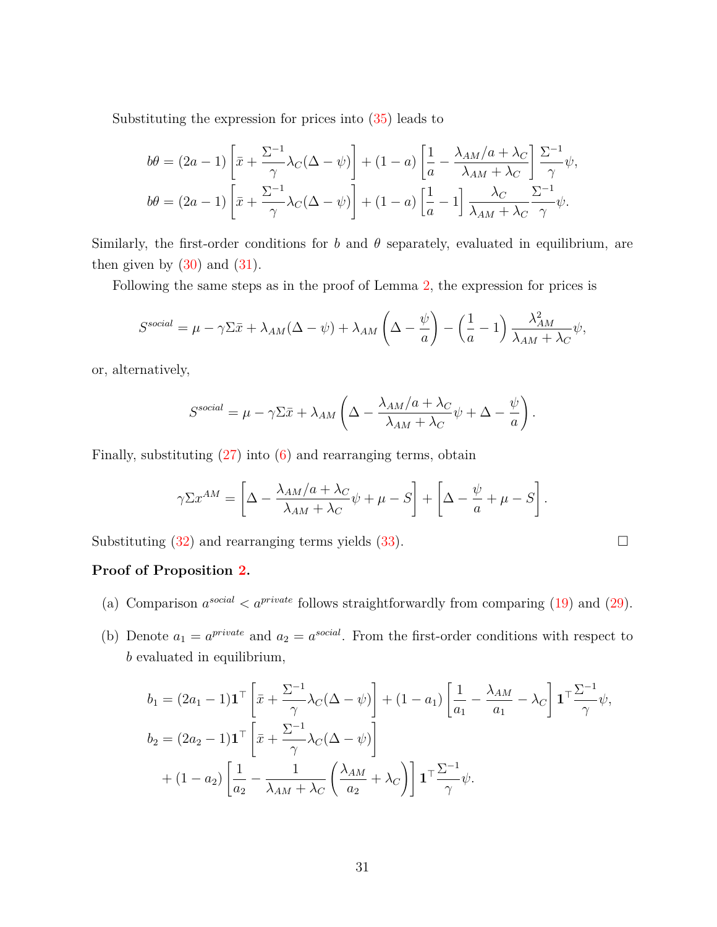Substituting the expression for prices into [\(35\)](#page-30-0) leads to

$$
b\theta = (2a - 1) \left[ \bar{x} + \frac{\Sigma^{-1}}{\gamma} \lambda_C (\Delta - \psi) \right] + (1 - a) \left[ \frac{1}{a} - \frac{\lambda_{AM}/a + \lambda_C}{\lambda_{AM} + \lambda_C} \right] \frac{\Sigma^{-1}}{\gamma} \psi,
$$
  

$$
b\theta = (2a - 1) \left[ \bar{x} + \frac{\Sigma^{-1}}{\gamma} \lambda_C (\Delta - \psi) \right] + (1 - a) \left[ \frac{1}{a} - 1 \right] \frac{\lambda_C}{\lambda_{AM} + \lambda_C} \frac{\Sigma^{-1}}{\gamma} \psi.
$$

Similarly, the first-order conditions for *b* and  $\theta$  separately, evaluated in equilibrium, are then given by  $(30)$  and  $(31)$ .

Following the same steps as in the proof of Lemma [2,](#page-17-5) the expression for prices is

$$
S^{social} = \mu - \gamma \Sigma \bar{x} + \lambda_{AM} (\Delta - \psi) + \lambda_{AM} \left( \Delta - \frac{\psi}{a} \right) - \left( \frac{1}{a} - 1 \right) \frac{\lambda_{AM}^2}{\lambda_{AM} + \lambda_C} \psi,
$$

or, alternatively,

$$
S^{social} = \mu - \gamma \Sigma \bar{x} + \lambda_{AM} \left( \Delta - \frac{\lambda_{AM}/a + \lambda_C}{\lambda_{AM} + \lambda_C} \psi + \Delta - \frac{\psi}{a} \right).
$$

Finally, substituting  $(27)$  into  $(6)$  and rearranging terms, obtain

$$
\gamma \Sigma x^{AM} = \left[ \Delta - \frac{\lambda_{AM}/a + \lambda_C}{\lambda_{AM} + \lambda_C} \psi + \mu - S \right] + \left[ \Delta - \frac{\psi}{a} + \mu - S \right].
$$

Substituting  $(32)$  and rearranging terms yields  $(33)$ .

#### **Proof of Proposition [2.](#page-0-0)**

- (a) Comparison  $a^{social} < a^{private}$  follows straightforwardly from comparing [\(19\)](#page-17-0) and [\(29\)](#page-22-1).
- (b) Denote  $a_1 = a^{private}$  and  $a_2 = a^{social}$ . From the first-order conditions with respect to *b* evaluated in equilibrium,

$$
b_1 = (2a_1 - 1)\mathbf{1}^\top \left[ \bar{x} + \frac{\Sigma^{-1}}{\gamma} \lambda_C (\Delta - \psi) \right] + (1 - a_1) \left[ \frac{1}{a_1} - \frac{\lambda_{AM}}{a_1} - \lambda_C \right] \mathbf{1}^\top \frac{\Sigma^{-1}}{\gamma} \psi,
$$
  
\n
$$
b_2 = (2a_2 - 1)\mathbf{1}^\top \left[ \bar{x} + \frac{\Sigma^{-1}}{\gamma} \lambda_C (\Delta - \psi) \right]
$$
  
\n
$$
+ (1 - a_2) \left[ \frac{1}{a_2} - \frac{1}{\lambda_{AM} + \lambda_C} \left( \frac{\lambda_{AM}}{a_2} + \lambda_C \right) \right] \mathbf{1}^\top \frac{\Sigma^{-1}}{\gamma} \psi.
$$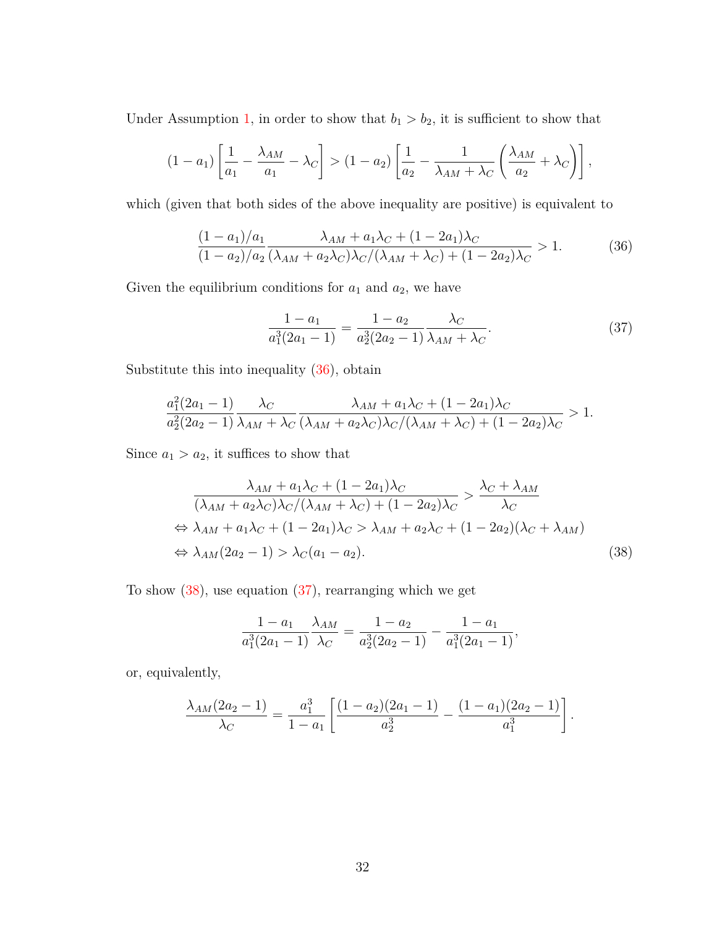Under Assumption [1,](#page-18-0) in order to show that  $b_1 > b_2$ , it is sufficient to show that

$$
(1-a_1)\left[\frac{1}{a_1}-\frac{\lambda_{AM}}{a_1}-\lambda_C\right] > (1-a_2)\left[\frac{1}{a_2}-\frac{1}{\lambda_{AM}+\lambda_C}\left(\frac{\lambda_{AM}}{a_2}+\lambda_C\right)\right],
$$

which (given that both sides of the above inequality are positive) is equivalent to

$$
\frac{(1-a_1)/a_1}{(1-a_2)/a_2} \frac{\lambda_{AM} + a_1\lambda_C + (1-2a_1)\lambda_C}{(\lambda_{AM} + a_2\lambda_C)\lambda_C/(\lambda_{AM} + \lambda_C) + (1-2a_2)\lambda_C} > 1.
$$
 (36)

Given the equilibrium conditions for  $a_1$  and  $a_2$ , we have

<span id="page-32-2"></span><span id="page-32-0"></span>
$$
\frac{1 - a_1}{a_1^3 (2a_1 - 1)} = \frac{1 - a_2}{a_2^3 (2a_2 - 1)} \frac{\lambda_C}{\lambda_{AM} + \lambda_C}.
$$
 (37)

Substitute this into inequality [\(36\)](#page-32-0), obtain

$$
\frac{a_1^2(2a_1-1)}{a_2^2(2a_2-1)}\frac{\lambda_C}{\lambda_{AM}+\lambda_C}\frac{\lambda_{AM}+a_1\lambda_C+(1-2a_1)\lambda_C}{(\lambda_{AM}+a_2\lambda_C)\lambda_C/(\lambda_{AM}+\lambda_C)+(1-2a_2)\lambda_C} > 1.
$$

Since  $a_1 > a_2$ , it suffices to show that

$$
\frac{\lambda_{AM} + a_1 \lambda_C + (1 - 2a_1) \lambda_C}{(\lambda_{AM} + a_2 \lambda_C)\lambda_C / (\lambda_{AM} + \lambda_C) + (1 - 2a_2) \lambda_C} > \frac{\lambda_C + \lambda_{AM}}{\lambda_C}
$$
  
\n
$$
\Leftrightarrow \lambda_{AM} + a_1 \lambda_C + (1 - 2a_1) \lambda_C > \lambda_{AM} + a_2 \lambda_C + (1 - 2a_2) (\lambda_C + \lambda_{AM})
$$
  
\n
$$
\Leftrightarrow \lambda_{AM} (2a_2 - 1) > \lambda_C (a_1 - a_2).
$$
\n(38)

To show  $(38)$ , use equation  $(37)$ , rearranging which we get

<span id="page-32-1"></span>
$$
\frac{1-a_1}{a_1^3(2a_1-1)}\frac{\lambda_{AM}}{\lambda_C} = \frac{1-a_2}{a_2^3(2a_2-1)} - \frac{1-a_1}{a_1^3(2a_1-1)},
$$

or, equivalently,

$$
\frac{\lambda_{AM}(2a_2-1)}{\lambda_C} = \frac{a_1^3}{1-a_1} \left[ \frac{(1-a_2)(2a_1-1)}{a_2^3} - \frac{(1-a_1)(2a_2-1)}{a_1^3} \right].
$$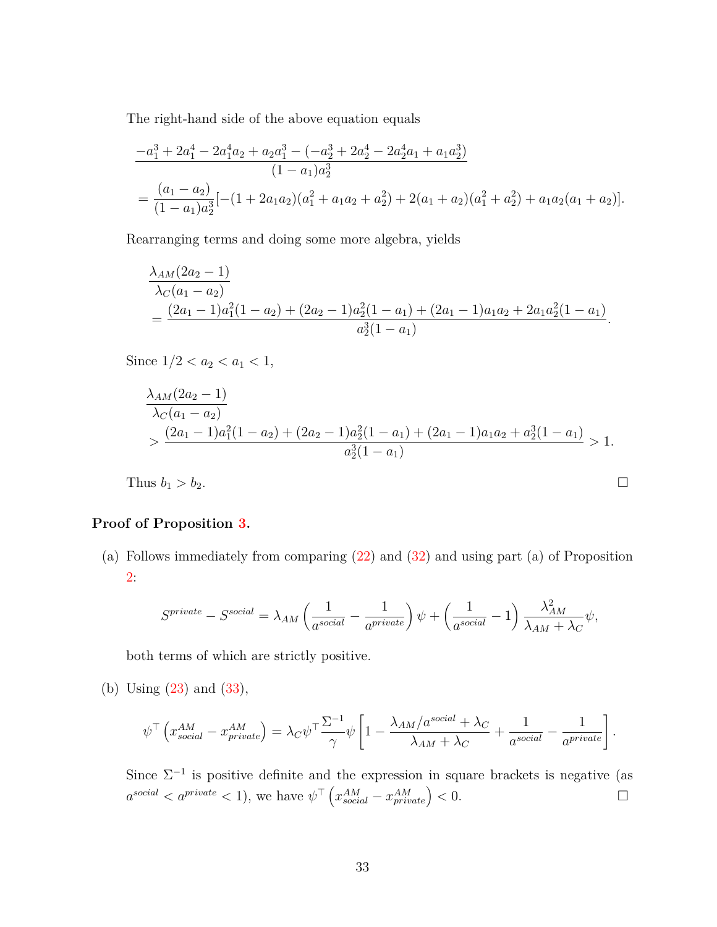The right-hand side of the above equation equals

$$
\frac{-a_1^3 + 2a_1^4 - 2a_1^4a_2 + a_2a_1^3 - (-a_2^3 + 2a_2^4 - 2a_2^4a_1 + a_1a_2^3)}{(1 - a_1)a_2^3}
$$
  
= 
$$
\frac{(a_1 - a_2)}{(1 - a_1)a_2^3}[-(1 + 2a_1a_2)(a_1^2 + a_1a_2 + a_2^2) + 2(a_1 + a_2)(a_1^2 + a_2^2) + a_1a_2(a_1 + a_2)].
$$

Rearranging terms and doing some more algebra, yields

$$
\frac{\lambda_{AM}(2a_2-1)}{\lambda_C(a_1-a_2)}
$$
  
= 
$$
\frac{(2a_1-1)a_1^2(1-a_2)+(2a_2-1)a_2^2(1-a_1)+(2a_1-1)a_1a_2+2a_1a_2^2(1-a_1)}{a_2^3(1-a_1)}.
$$

Since  $1/2 < a_2 < a_1 < 1$ ,

$$
\frac{\lambda_{AM}(2a_2-1)}{\lambda_C(a_1-a_2)}
$$
  
> 
$$
\frac{(2a_1-1)a_1^2(1-a_2)+(2a_2-1)a_2^2(1-a_1)+(2a_1-1)a_1a_2+a_2^3(1-a_1)}{a_2^3(1-a_1)} > 1.
$$

Thus  $b_1 > b_2$ .

#### **Proof of Proposition [3.](#page-24-0)**

(a) Follows immediately from comparing [\(22\)](#page-17-3) and [\(32\)](#page-22-3) and using part (a) of Proposition [2:](#page-0-0)

$$
S^{private} - S^{social} = \lambda_{AM} \left( \frac{1}{a^{social}} - \frac{1}{a^{private}} \right) \psi + \left( \frac{1}{a^{social}} - 1 \right) \frac{\lambda_{AM}^2}{\lambda_{AM} + \lambda_C} \psi,
$$

both terms of which are strictly positive.

(b) Using [\(23\)](#page-17-4) and [\(33\)](#page-23-0),

$$
\psi^{\top} \left( x_{social}^{AM} - x_{private}^{AM} \right) = \lambda_C \psi^{\top} \frac{\Sigma^{-1}}{\gamma} \psi \left[ 1 - \frac{\lambda_{AM}/a^{social} + \lambda_C}{\lambda_{AM} + \lambda_C} + \frac{1}{a^{social}} - \frac{1}{a^{private}} \right].
$$

Since  $\Sigma^{-1}$  is positive definite and the expression in square brackets is negative (as  $a^{social} < a^{private} < 1$ , we have  $\psi^{\top} (x_{social}^{AM} - x_{private}^{AM}) < 0.$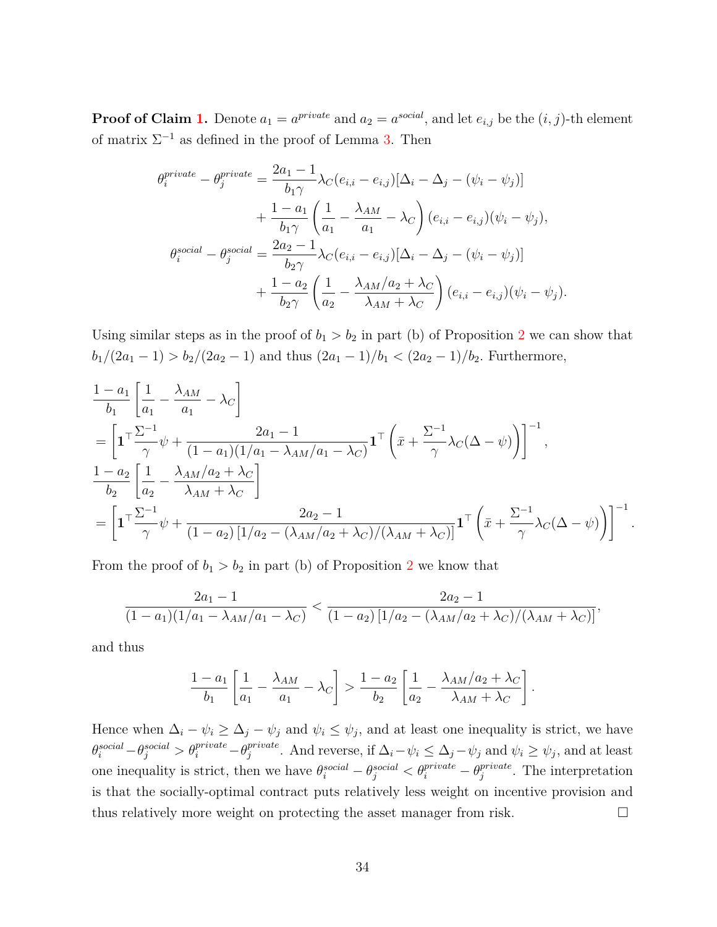**Proof of Claim [1.](#page-24-1)** Denote  $a_1 = a^{private}$  and  $a_2 = a^{social}$ , and let  $e_{i,j}$  be the  $(i, j)$ -th element of matrix  $\Sigma^{-1}$  as defined in the proof of Lemma [3.](#page-19-1) Then

$$
\theta_i^{private} - \theta_j^{private} = \frac{2a_1 - 1}{b_1 \gamma} \lambda_C(e_{i,i} - e_{i,j}) [\Delta_i - \Delta_j - (\psi_i - \psi_j)]
$$
  
+ 
$$
\frac{1 - a_1}{b_1 \gamma} \left(\frac{1}{a_1} - \frac{\lambda_{AM}}{a_1} - \lambda_C\right) (e_{i,i} - e_{i,j}) (\psi_i - \psi_j),
$$
  

$$
\theta_i^{social} - \theta_j^{social} = \frac{2a_2 - 1}{b_2 \gamma} \lambda_C(e_{i,i} - e_{i,j}) [\Delta_i - \Delta_j - (\psi_i - \psi_j)]
$$
  
+ 
$$
\frac{1 - a_2}{b_2 \gamma} \left(\frac{1}{a_2} - \frac{\lambda_{AM}/a_2 + \lambda_C}{\lambda_{AM} + \lambda_C}\right) (e_{i,i} - e_{i,j}) (\psi_i - \psi_j).
$$

Using similar steps as in the proof of  $b_1 > b_2$  $b_1 > b_2$  in part (b) of Proposition 2 we can show that  $b_1/(2a_1 - 1) > b_2/(2a_2 - 1)$  and thus  $(2a_1 - 1)/b_1 < (2a_2 - 1)/b_2$ . Furthermore,

$$
\frac{1-a_1}{b_1} \left[ \frac{1}{a_1} - \frac{\lambda_{AM}}{a_1} - \lambda_C \right]
$$
\n
$$
= \left[ \mathbf{1}^\top \frac{\Sigma^{-1}}{\gamma} \psi + \frac{2a_1 - 1}{(1 - a_1)(1/a_1 - \lambda_{AM}/a_1 - \lambda_C)} \mathbf{1}^\top \left( \bar{x} + \frac{\Sigma^{-1}}{\gamma} \lambda_C (\Delta - \psi) \right) \right]^{-1},
$$
\n
$$
\frac{1-a_2}{b_2} \left[ \frac{1}{a_2} - \frac{\lambda_{AM}/a_2 + \lambda_C}{\lambda_{AM} + \lambda_C} \right]
$$
\n
$$
= \left[ \mathbf{1}^\top \frac{\Sigma^{-1}}{\gamma} \psi + \frac{2a_2 - 1}{(1 - a_2) \left[ 1/a_2 - (\lambda_{AM}/a_2 + \lambda_C) / (\lambda_{AM} + \lambda_C) \right]} \mathbf{1}^\top \left( \bar{x} + \frac{\Sigma^{-1}}{\gamma} \lambda_C (\Delta - \psi) \right) \right]^{-1}.
$$

From the proof of  $b_1 > b_2$  $b_1 > b_2$  in part (b) of Proposition 2 we know that

$$
\frac{2a_1 - 1}{(1 - a_1)(1/a_1 - \lambda_{AM}/a_1 - \lambda_C)} < \frac{2a_2 - 1}{(1 - a_2)\left[1/a_2 - (\lambda_{AM}/a_2 + \lambda_C)/(\lambda_{AM} + \lambda_C)\right]},
$$

and thus

$$
\frac{1-a_1}{b_1} \left[ \frac{1}{a_1} - \frac{\lambda_{AM}}{a_1} - \lambda_C \right] > \frac{1-a_2}{b_2} \left[ \frac{1}{a_2} - \frac{\lambda_{AM}/a_2 + \lambda_C}{\lambda_{AM} + \lambda_C} \right].
$$

Hence when  $\Delta_i - \psi_i \ge \Delta_j - \psi_j$  and  $\psi_i \le \psi_j$ , and at least one inequality is strict, we have  $\theta_i^{social} - \theta_j^{social} > \theta_i^{private} - \theta_j^{private}$ *f*<sup>*rivate*</sup>. And reverse, if  $\Delta_i - \psi_i \leq \Delta_j - \psi_j$  and  $\psi_i \geq \psi_j$ , and at least one inequality is strict, then we have  $\theta_i^{social} - \theta_j^{social} < \theta_i^{private} - \theta_j^{private}$ *j* . The interpretation is that the socially-optimal contract puts relatively less weight on incentive provision and thus relatively more weight on protecting the asset manager from risk.  $\square$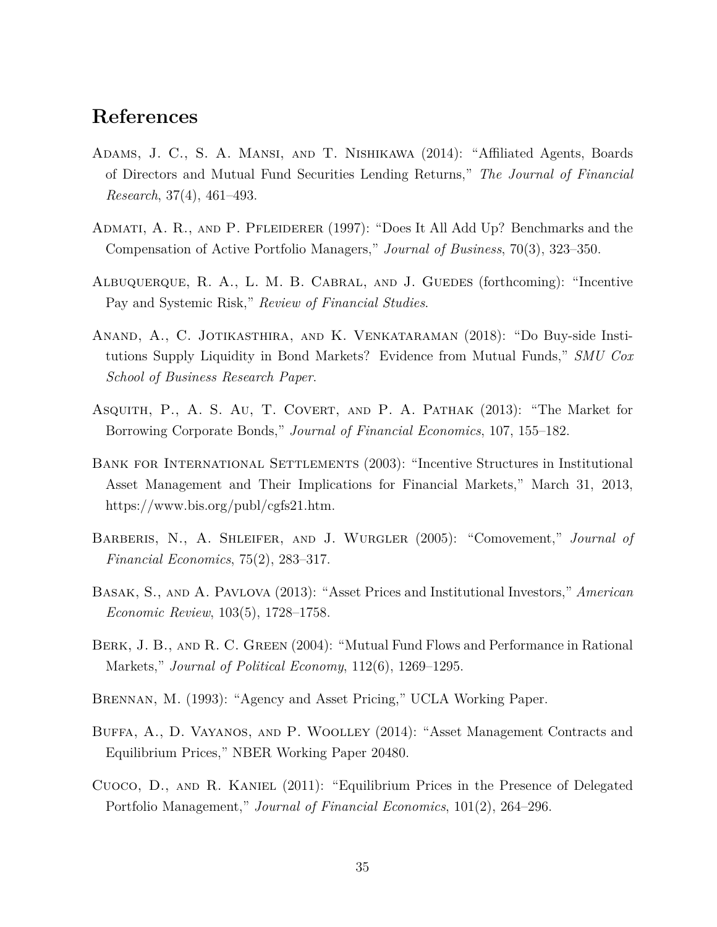# **References**

- <span id="page-35-7"></span>Adams, J. C., S. A. Mansi, and T. Nishikawa (2014): "Affiliated Agents, Boards of Directors and Mutual Fund Securities Lending Returns," *The Journal of Financial Research*, 37(4), 461–493.
- <span id="page-35-0"></span>Admati, A. R., and P. Pfleiderer (1997): "Does It All Add Up? Benchmarks and the Compensation of Active Portfolio Managers," *Journal of Business*, 70(3), 323–350.
- <span id="page-35-5"></span>Albuquerque, R. A., L. M. B. Cabral, and J. Guedes (forthcoming): "Incentive Pay and Systemic Risk," *Review of Financial Studies*.
- <span id="page-35-8"></span>Anand, A., C. Jotikasthira, and K. Venkataraman (2018): "Do Buy-side Institutions Supply Liquidity in Bond Markets? Evidence from Mutual Funds," *SMU Cox School of Business Research Paper*.
- Asquith, P., A. S. Au, T. Covert, and P. A. Pathak (2013): "The Market for Borrowing Corporate Bonds," *Journal of Financial Economics*, 107, 155–182.
- <span id="page-35-9"></span>Bank for International Settlements (2003): "Incentive Structures in Institutional Asset Management and Their Implications for Financial Markets," March 31, 2013, https://www.bis.org/publ/cgfs21.htm.
- Barberis, N., A. Shleifer, and J. Wurgler (2005): "Comovement," *Journal of Financial Economics*, 75(2), 283–317.
- <span id="page-35-3"></span>Basak, S., and A. Pavlova (2013): "Asset Prices and Institutional Investors," *American Economic Review*, 103(5), 1728–1758.
- <span id="page-35-6"></span>Berk, J. B., and R. C. Green (2004): "Mutual Fund Flows and Performance in Rational Markets," *Journal of Political Economy*, 112(6), 1269–1295.
- <span id="page-35-1"></span>Brennan, M. (1993): "Agency and Asset Pricing," UCLA Working Paper.
- <span id="page-35-4"></span>Buffa, A., D. Vayanos, and P. Woolley (2014): "Asset Management Contracts and Equilibrium Prices," NBER Working Paper 20480.
- <span id="page-35-2"></span>Cuoco, D., and R. Kaniel (2011): "Equilibrium Prices in the Presence of Delegated Portfolio Management," *Journal of Financial Economics*, 101(2), 264–296.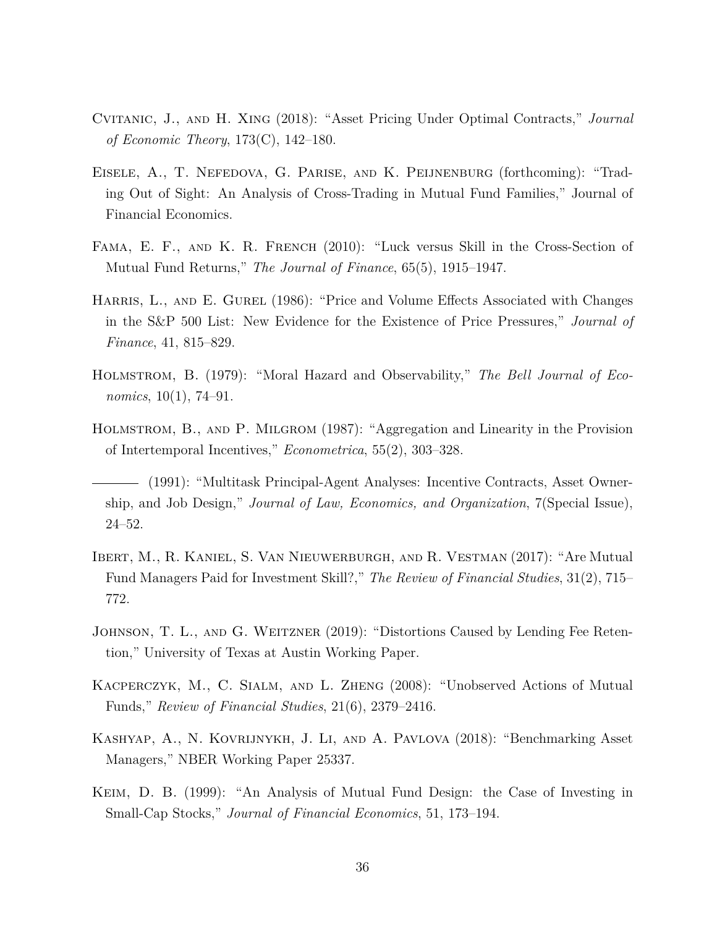- <span id="page-36-4"></span>Cvitanic, J., and H. Xing (2018): "Asset Pricing Under Optimal Contracts," *Journal of Economic Theory*, 173(C), 142–180.
- <span id="page-36-8"></span>Eisele, A., T. Nefedova, G. Parise, and K. Peijnenburg (forthcoming): "Trading Out of Sight: An Analysis of Cross-Trading in Mutual Fund Families," Journal of Financial Economics.
- <span id="page-36-6"></span>Fama, E. F., and K. R. French (2010): "Luck versus Skill in the Cross-Section of Mutual Fund Returns," *The Journal of Finance*, 65(5), 1915–1947.
- HARRIS, L., AND E. GUREL (1986): "Price and Volume Effects Associated with Changes in the S&P 500 List: New Evidence for the Existence of Price Pressures," *Journal of Finance*, 41, 815–829.
- <span id="page-36-0"></span>Holmstrom, B. (1979): "Moral Hazard and Observability," *The Bell Journal of Economics*, 10(1), 74–91.
- <span id="page-36-1"></span>Holmstrom, B., and P. Milgrom (1987): "Aggregation and Linearity in the Provision of Intertemporal Incentives," *Econometrica*, 55(2), 303–328.
- <span id="page-36-2"></span>(1991): "Multitask Principal-Agent Analyses: Incentive Contracts, Asset Ownership, and Job Design," *Journal of Law, Economics, and Organization*, 7(Special Issue), 24–52.
- <span id="page-36-9"></span>Ibert, M., R. Kaniel, S. Van Nieuwerburgh, and R. Vestman (2017): "Are Mutual Fund Managers Paid for Investment Skill?," *The Review of Financial Studies*, 31(2), 715– 772.
- <span id="page-36-10"></span>JOHNSON, T. L., AND G. WEITZNER (2019): "Distortions Caused by Lending Fee Retention," University of Texas at Austin Working Paper.
- <span id="page-36-5"></span>Kacperczyk, M., C. Sialm, and L. Zheng (2008): "Unobserved Actions of Mutual Funds," *Review of Financial Studies*, 21(6), 2379–2416.
- <span id="page-36-3"></span>Kashyap, A., N. Kovrijnykh, J. Li, and A. Pavlova (2018): "Benchmarking Asset Managers," NBER Working Paper 25337.
- <span id="page-36-7"></span>Keim, D. B. (1999): "An Analysis of Mutual Fund Design: the Case of Investing in Small-Cap Stocks," *Journal of Financial Economics*, 51, 173–194.